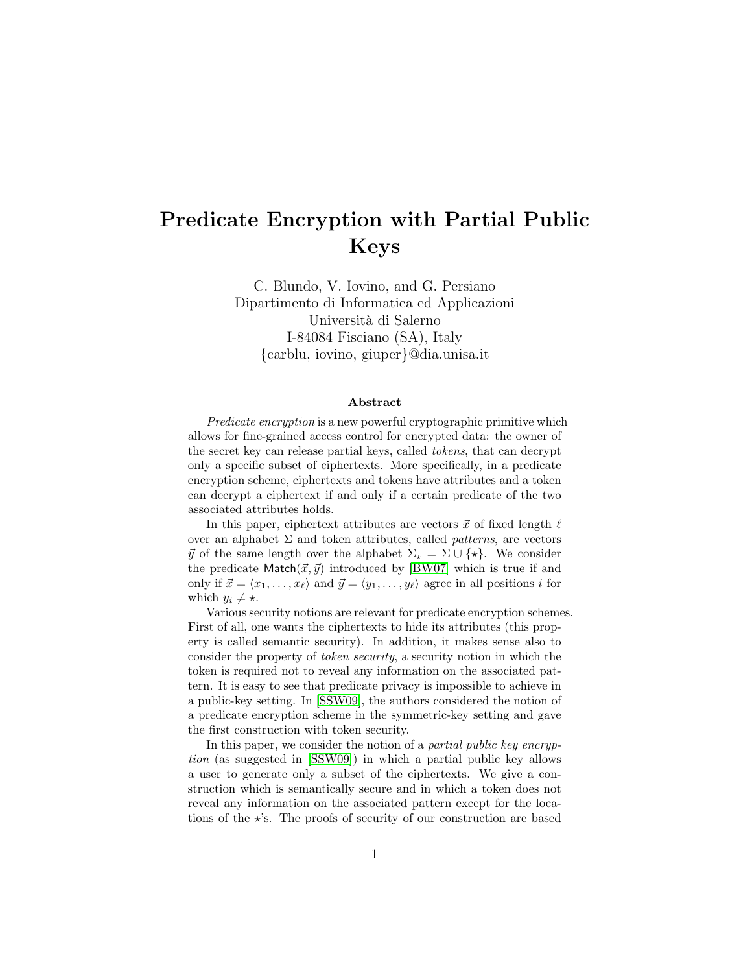# Predicate Encryption with Partial Public Keys

C. Blundo, V. Iovino, and G. Persiano Dipartimento di Informatica ed Applicazioni Università di Salerno I-84084 Fisciano (SA), Italy {carblu, iovino, giuper}@dia.unisa.it

#### Abstract

Predicate encryption is a new powerful cryptographic primitive which allows for fine-grained access control for encrypted data: the owner of the secret key can release partial keys, called tokens, that can decrypt only a specific subset of ciphertexts. More specifically, in a predicate encryption scheme, ciphertexts and tokens have attributes and a token can decrypt a ciphertext if and only if a certain predicate of the two associated attributes holds.

In this paper, ciphertext attributes are vectors  $\vec{x}$  of fixed length  $\ell$ over an alphabet  $\Sigma$  and token attributes, called *patterns*, are vectors  $\vec{y}$  of the same length over the alphabet  $\Sigma_{\star} = \Sigma \cup \{\star\}.$  We consider the predicate  $\text{Match}(\vec{x}, \vec{y})$  introduced by [\[BW07\]](#page-26-0) which is true if and only if  $\vec{x} = \langle x_1, \ldots, x_\ell \rangle$  and  $\vec{y} = \langle y_1, \ldots, y_\ell \rangle$  agree in all positions i for which  $y_i \neq \star$ .

Various security notions are relevant for predicate encryption schemes. First of all, one wants the ciphertexts to hide its attributes (this property is called semantic security). In addition, it makes sense also to consider the property of token security, a security notion in which the token is required not to reveal any information on the associated pattern. It is easy to see that predicate privacy is impossible to achieve in a public-key setting. In [\[SSW09\]](#page-27-0), the authors considered the notion of a predicate encryption scheme in the symmetric-key setting and gave the first construction with token security.

In this paper, we consider the notion of a *partial public key encryp*tion (as suggested in [\[SSW09\]](#page-27-0)) in which a partial public key allows a user to generate only a subset of the ciphertexts. We give a construction which is semantically secure and in which a token does not reveal any information on the associated pattern except for the locations of the  $\star$ 's. The proofs of security of our construction are based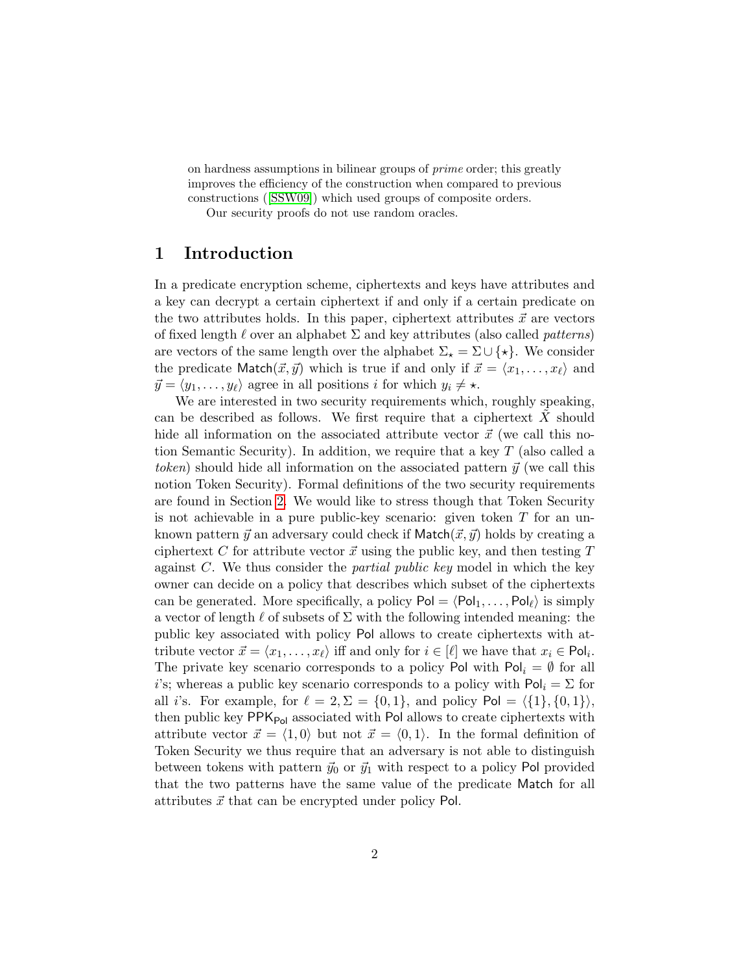on hardness assumptions in bilinear groups of prime order; this greatly improves the efficiency of the construction when compared to previous constructions ([\[SSW09\]](#page-27-0)) which used groups of composite orders. Our security proofs do not use random oracles.

## 1 Introduction

In a predicate encryption scheme, ciphertexts and keys have attributes and a key can decrypt a certain ciphertext if and only if a certain predicate on the two attributes holds. In this paper, ciphertext attributes  $\vec{x}$  are vectors of fixed length  $\ell$  over an alphabet  $\Sigma$  and key attributes (also called *patterns*) are vectors of the same length over the alphabet  $\Sigma_{\star} = \Sigma \cup \{\star\}.$  We consider the predicate Match $(\vec{x}, \vec{y})$  which is true if and only if  $\vec{x} = \langle x_1, \ldots, x_\ell \rangle$  and  $\vec{y} = \langle y_1, \ldots, y_\ell \rangle$  agree in all positions i for which  $y_i \neq \star$ .

We are interested in two security requirements which, roughly speaking, can be described as follows. We first require that a ciphertext  $X$  should hide all information on the associated attribute vector  $\vec{x}$  (we call this notion Semantic Security). In addition, we require that a key T (also called a token) should hide all information on the associated pattern  $\vec{y}$  (we call this notion Token Security). Formal definitions of the two security requirements are found in Section [2.](#page-3-0) We would like to stress though that Token Security is not achievable in a pure public-key scenario: given token  $T$  for an unknown pattern  $\vec{y}$  an adversary could check if Match $(\vec{x}, \vec{y})$  holds by creating a ciphertext C for attribute vector  $\vec{x}$  using the public key, and then testing T against  $C$ . We thus consider the *partial public key* model in which the key owner can decide on a policy that describes which subset of the ciphertexts can be generated. More specifically, a policy  $Pol = \langle Pol_1, \ldots, Pol_\ell \rangle$  is simply a vector of length  $\ell$  of subsets of  $\Sigma$  with the following intended meaning: the public key associated with policy Pol allows to create ciphertexts with attribute vector  $\vec{x} = \langle x_1, \ldots, x_\ell \rangle$  iff and only for  $i \in [\ell]$  we have that  $x_i \in \text{Pol}_i$ . The private key scenario corresponds to a policy Pol with  $Pol_i = \emptyset$  for all i's; whereas a public key scenario corresponds to a policy with  $Pol_i = \Sigma$  for all i's. For example, for  $\ell = 2, \Sigma = \{0, 1\}$ , and policy Pol =  $\langle \{1\}, \{0, 1\}\rangle$ , then public key  $PPK_{Pol}$  associated with Pol allows to create ciphertexts with attribute vector  $\vec{x} = \langle 1, 0 \rangle$  but not  $\vec{x} = \langle 0, 1 \rangle$ . In the formal definition of Token Security we thus require that an adversary is not able to distinguish between tokens with pattern  $\vec{y}_0$  or  $\vec{y}_1$  with respect to a policy Pol provided that the two patterns have the same value of the predicate Match for all attributes  $\vec{x}$  that can be encrypted under policy Pol.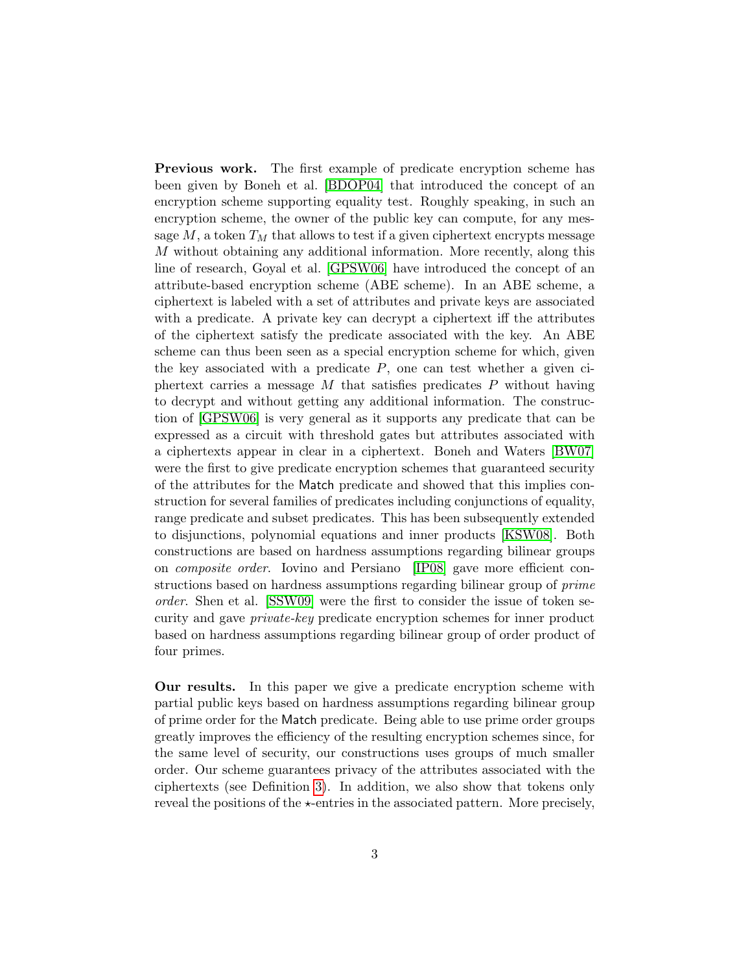Previous work. The first example of predicate encryption scheme has been given by Boneh et al. [\[BDOP04\]](#page-26-1) that introduced the concept of an encryption scheme supporting equality test. Roughly speaking, in such an encryption scheme, the owner of the public key can compute, for any message  $M$ , a token  $T_M$  that allows to test if a given ciphertext encrypts message M without obtaining any additional information. More recently, along this line of research, Goyal et al. [\[GPSW06\]](#page-26-2) have introduced the concept of an attribute-based encryption scheme (ABE scheme). In an ABE scheme, a ciphertext is labeled with a set of attributes and private keys are associated with a predicate. A private key can decrypt a ciphertext iff the attributes of the ciphertext satisfy the predicate associated with the key. An ABE scheme can thus been seen as a special encryption scheme for which, given the key associated with a predicate  $P$ , one can test whether a given ciphertext carries a message  $M$  that satisfies predicates  $P$  without having to decrypt and without getting any additional information. The construction of [\[GPSW06\]](#page-26-2) is very general as it supports any predicate that can be expressed as a circuit with threshold gates but attributes associated with a ciphertexts appear in clear in a ciphertext. Boneh and Waters [\[BW07\]](#page-26-0) were the first to give predicate encryption schemes that guaranteed security of the attributes for the Match predicate and showed that this implies construction for several families of predicates including conjunctions of equality, range predicate and subset predicates. This has been subsequently extended to disjunctions, polynomial equations and inner products [\[KSW08\]](#page-27-1). Both constructions are based on hardness assumptions regarding bilinear groups on composite order. Iovino and Persiano [\[IP08\]](#page-27-2) gave more efficient constructions based on hardness assumptions regarding bilinear group of prime order. Shen et al. [\[SSW09\]](#page-27-0) were the first to consider the issue of token security and gave private-key predicate encryption schemes for inner product based on hardness assumptions regarding bilinear group of order product of four primes.

Our results. In this paper we give a predicate encryption scheme with partial public keys based on hardness assumptions regarding bilinear group of prime order for the Match predicate. Being able to use prime order groups greatly improves the efficiency of the resulting encryption schemes since, for the same level of security, our constructions uses groups of much smaller order. Our scheme guarantees privacy of the attributes associated with the ciphertexts (see Definition [3\)](#page-5-0). In addition, we also show that tokens only reveal the positions of the  $\star$ -entries in the associated pattern. More precisely,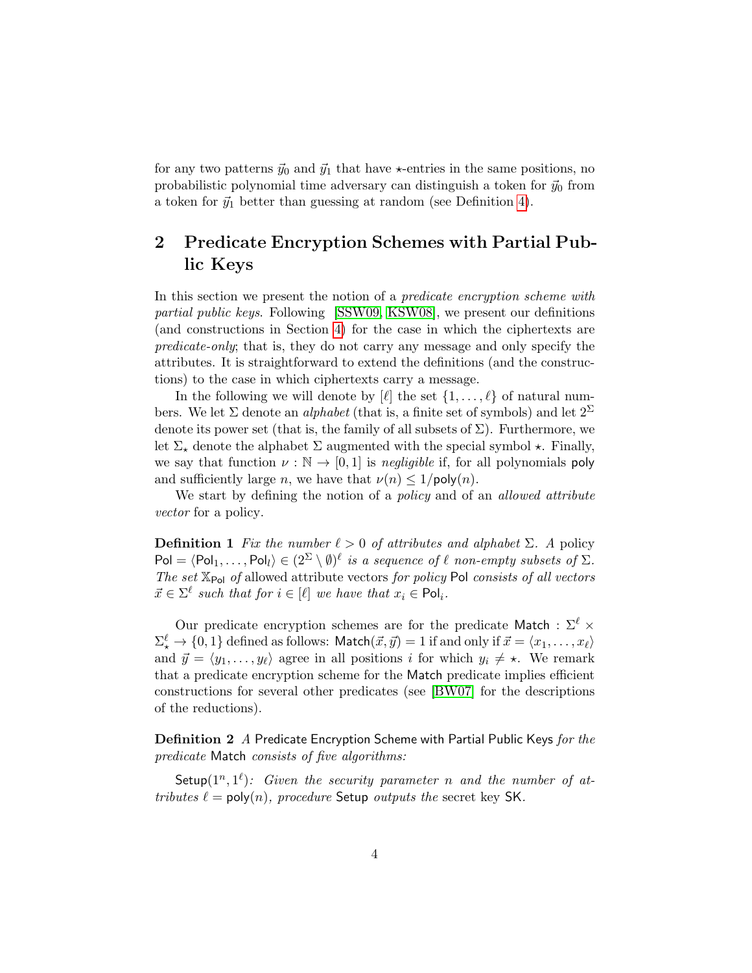for any two patterns  $\vec{y}_0$  and  $\vec{y}_1$  that have  $\star$ -entries in the same positions, no probabilistic polynomial time adversary can distinguish a token for  $\vec{y}_0$  from a token for  $\vec{y}_1$  better than guessing at random (see Definition [4\)](#page-6-0).

## <span id="page-3-0"></span>2 Predicate Encryption Schemes with Partial Public Keys

In this section we present the notion of a *predicate encryption scheme with* partial public keys. Following [\[SSW09,](#page-27-0) [KSW08\]](#page-27-1), we present our definitions (and constructions in Section [4\)](#page-12-0) for the case in which the ciphertexts are predicate-only; that is, they do not carry any message and only specify the attributes. It is straightforward to extend the definitions (and the constructions) to the case in which ciphertexts carry a message.

In the following we will denote by  $[\ell]$  the set  $\{1, \ldots, \ell\}$  of natural numbers. We let  $\Sigma$  denote an *alphabet* (that is, a finite set of symbols) and let  $2^{\Sigma}$ denote its power set (that is, the family of all subsets of  $\Sigma$ ). Furthermore, we let  $\Sigma_{\star}$  denote the alphabet  $\Sigma$  augmented with the special symbol  $\star$ . Finally, we say that function  $\nu : \mathbb{N} \to [0, 1]$  is *negligible* if, for all polynomials poly and sufficiently large n, we have that  $\nu(n) \leq 1/\text{poly}(n)$ .

We start by defining the notion of a *policy* and of an *allowed attribute* vector for a policy.

**Definition 1** Fix the number  $\ell > 0$  of attributes and alphabet  $\Sigma$ . A policy  $Pol = \langle Pol_1, \ldots, Pol_l \rangle \in (2^{\Sigma} \setminus \emptyset)^{\ell}$  is a sequence of  $\ell$  non-empty subsets of  $\Sigma$ . The set  $\mathbb{X}_{\mathsf{Pol}}$  of allowed attribute vectors for policy Pol consists of all vectors  $\vec{x} \in \Sigma^{\ell}$  such that for  $i \in [\ell]$  we have that  $x_i \in \text{Pol}_i$ .

Our predicate encryption schemes are for the predicate Match :  $\Sigma^{\ell}$  ×  $\Sigma^\ell_\star \to \{0,1\}$  defined as follows: Match $(\vec{x}, \vec{y}) = 1$  if and only if  $\vec{x} = \langle x_1, \ldots, x_\ell \rangle$ and  $\vec{y} = \langle y_1, \ldots, y_\ell \rangle$  agree in all positions i for which  $y_i \neq \star$ . We remark that a predicate encryption scheme for the Match predicate implies efficient constructions for several other predicates (see [\[BW07\]](#page-26-0) for the descriptions of the reductions).

Definition 2 A Predicate Encryption Scheme with Partial Public Keys for the predicate Match consists of five algorithms:

Setup $(1^n, 1^{\ell})$ : Given the security parameter n and the number of attributes  $\ell = \text{poly}(n)$ , procedure Setup outputs the secret key SK.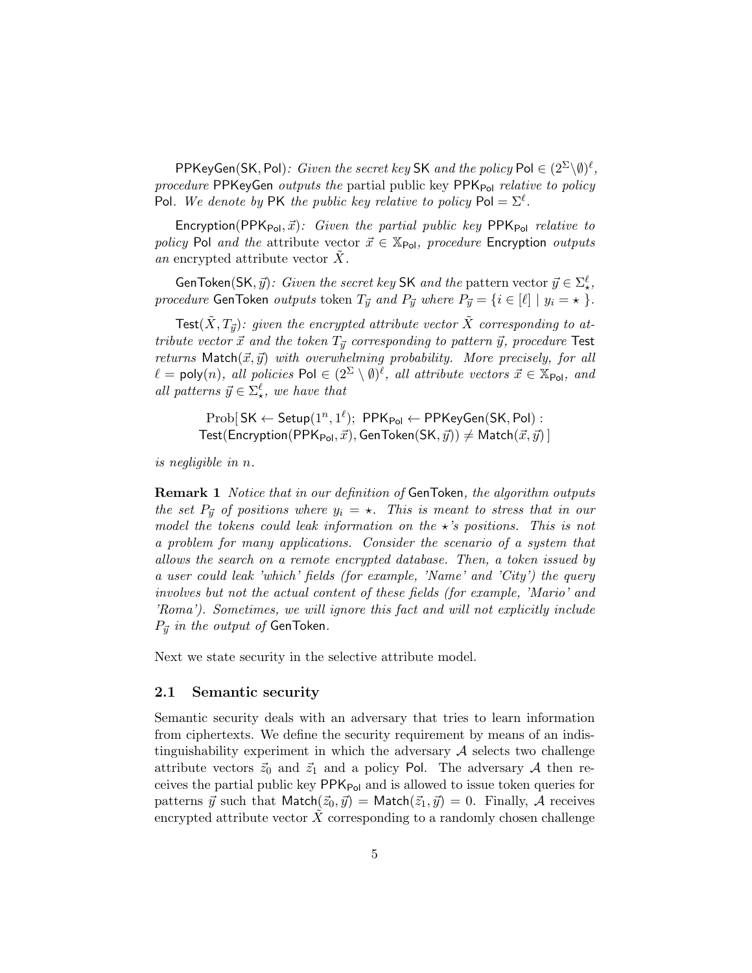PPKeyGen(SK, Pol): Given the secret key SK and the policy Pol  $\in (2^{\Sigma}\backslash\emptyset)^{\ell}$ , procedure PPKeyGen outputs the partial public key  $PPK_{Pol}$  relative to policy Pol. We denote by PK the public key relative to policy  $Pol = \sum^{\ell}$ .

Encryption(PPK<sub>Pol</sub>,  $\vec{x}$ ): Given the partial public key PPK<sub>Pol</sub> relative to policy Pol and the attribute vector  $\vec{x} \in \mathbb{X}_{Pol}$ , procedure Encryption outputs an encrypted attribute vector  $X$ .

GenToken(SK,  $\vec{y}$ ): Given the secret key SK and the pattern vector  $\vec{y} \in \Sigma_{\star}^{\ell}$ , procedure GenToken outputs token  $T_{\vec{y}}$  and  $P_{\vec{y}}$  where  $P_{\vec{y}} = \{i \in [\ell] \mid y_i = \star \}$ .

 $\mathsf{Test}(\tilde{X}, T_{\vec{y}})$ : given the encrypted attribute vector  $\tilde{X}$  corresponding to attribute vector  $\vec{x}$  and the token  $T_{\vec{y}}$  corresponding to pattern  $\vec{y}$ , procedure Test returns  $\mathsf{Match}(\vec{x}, \vec{y})$  with overwhelming probability. More precisely, for all  $\ell = \mathsf{poly}(n)$ , all policies  $\mathsf{Pol} \in (2^{\Sigma} \setminus \emptyset)^{\ell}$ , all attribute vectors  $\vec{x} \in \mathbb{X}_{\mathsf{Pol}}$ , and all patterns  $\vec{y} \in \Sigma_{\star}^{\ell}$ , we have that

 $\mathrm{Prob}[\mathsf{SK}\leftarrow \mathsf{Setup}(1^n,1^\ell);~\mathsf{PPK}_{\mathsf{Pol}}\leftarrow \mathsf{PPKeyGen}(\mathsf{SK},\mathsf{Pol})$ : Test(Encryption(PPK<sub>Pol</sub>,  $\vec{x}$ ), GenToken(SK,  $\vec{y}$ ))  $\neq$  Match( $\vec{x}, \vec{y}$ )]

is negligible in n.

Remark 1 Notice that in our definition of GenToken, the algorithm outputs the set  $P_{\vec{y}}$  of positions where  $y_i = \star$ . This is meant to stress that in our model the tokens could leak information on the  $\star$ 's positions. This is not a problem for many applications. Consider the scenario of a system that allows the search on a remote encrypted database. Then, a token issued by a user could leak 'which' fields (for example, 'Name' and 'City') the query involves but not the actual content of these fields (for example, 'Mario' and 'Roma'). Sometimes, we will ignore this fact and will not explicitly include  $P_{\vec{y}}$  in the output of GenToken.

Next we state security in the selective attribute model.

#### 2.1 Semantic security

Semantic security deals with an adversary that tries to learn information from ciphertexts. We define the security requirement by means of an indistinguishability experiment in which the adversary  $A$  selects two challenge attribute vectors  $\vec{z}_0$  and  $\vec{z}_1$  and a policy Pol. The adversary A then receives the partial public key  $PPK_{Pol}$  and is allowed to issue token queries for patterns  $\vec{y}$  such that Match $(\vec{z}_0, \vec{y}) = \text{Match}(\vec{z}_1, \vec{y}) = 0$ . Finally, A receives encrypted attribute vector  $\overline{X}$  corresponding to a randomly chosen challenge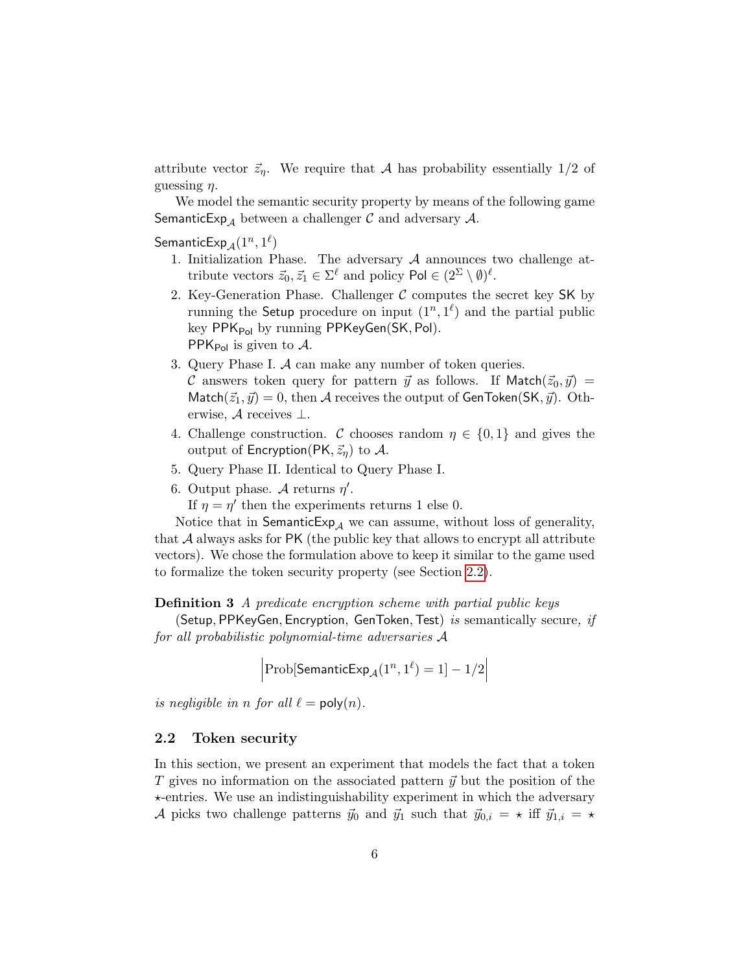attribute vector  $\vec{z}_\eta$ . We require that A has probability essentially 1/2 of guessing  $\eta$ .

We model the semantic security property by means of the following game **SemanticExp**<sub>A</sub> between a challenger C and adversary A.

 $\mathsf{SemanticExp}_\mathcal{A}(1^n,1^\ell)$ 

- 1. Initialization Phase. The adversary  $A$  announces two challenge attribute vectors  $\vec{z}_0, \vec{z}_1 \in \Sigma^{\ell}$  and policy  $\mathsf{Pol} \in (2^{\Sigma} \setminus \emptyset)^{\ell}$ .
- 2. Key-Generation Phase. Challenger  $\mathcal C$  computes the secret key SK by running the Setup procedure on input  $(1^n, 1^{\ell})$  and the partial public key  $PPK_{Pol}$  by running  $PPKeyGen(SK, Pol)$ . PPK<sub>Pol</sub> is given to  $\mathcal{A}$ .
- 3. Query Phase I. A can make any number of token queries. C answers token query for pattern  $\vec{y}$  as follows. If Match $(\vec{z}_0, \vec{y}) =$ Match $(\vec{z}_1, \vec{y}) = 0$ , then A receives the output of GenToken(SK,  $\vec{y}$ ). Otherwise,  $A$  receives  $\perp$ .
- 4. Challenge construction. C chooses random  $\eta \in \{0,1\}$  and gives the output of Encryption(PK,  $\vec{z}_n$ ) to A.
- 5. Query Phase II. Identical to Query Phase I.
- 6. Output phase. A returns  $\eta'$ .

If  $\eta = \eta'$  then the experiments returns 1 else 0.

Notice that in SemanticExp<sub>A</sub> we can assume, without loss of generality, that  $\mathcal A$  always asks for PK (the public key that allows to encrypt all attribute vectors). We chose the formulation above to keep it similar to the game used to formalize the token security property (see Section [2.2\)](#page-5-1).

<span id="page-5-0"></span>Definition 3 A predicate encryption scheme with partial public keys

(Setup, PPKeyGen, Encryption, GenToken, Test) is semantically secure, if for all probabilistic polynomial-time adversaries A

 $\left|\text{Prob}[\textsf{SemanticExp}_\mathcal{A}(1^n, 1^\ell) = 1] - 1/2\right|$ 

is negligible in n for all  $\ell = \text{poly}(n)$ .

#### <span id="page-5-1"></span>2.2 Token security

In this section, we present an experiment that models the fact that a token T gives no information on the associated pattern  $\vec{y}$  but the position of the  $\star$ -entries. We use an indistinguishability experiment in which the adversary A picks two challenge patterns  $\vec{y}_0$  and  $\vec{y}_1$  such that  $\vec{y}_{0,i} = \star$  iff  $\vec{y}_{1,i} = \star$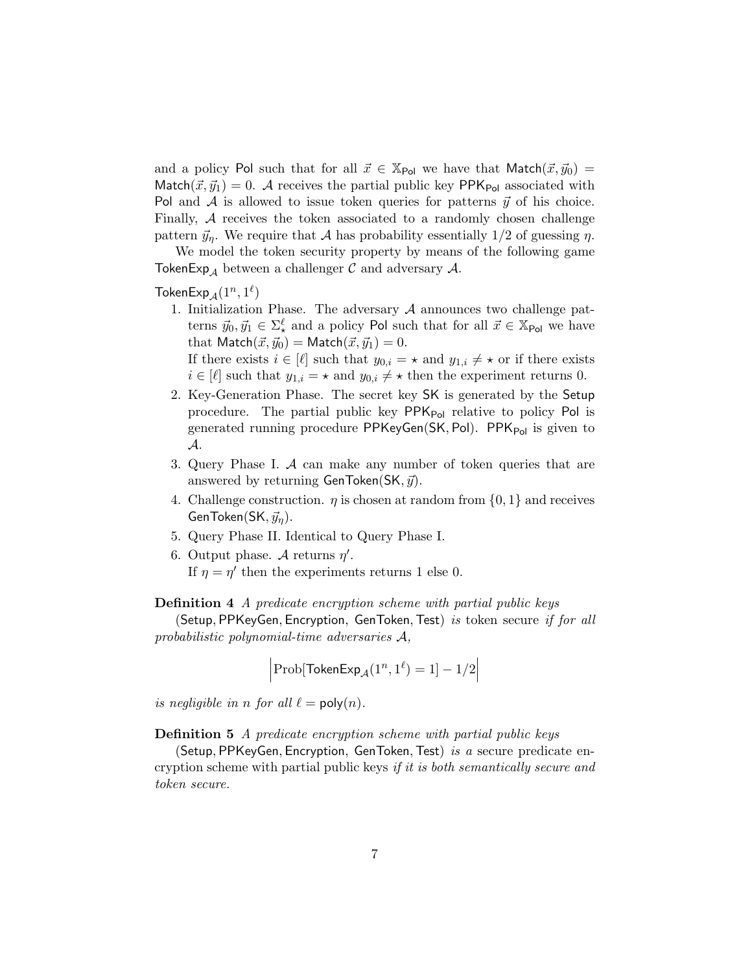and a policy Pol such that for all  $\vec{x} \in X_{Pol}$  we have that Match $(\vec{x}, \vec{y}_0)$  = Match $(\vec{x}, \vec{y}_1) = 0$ . A receives the partial public key PPK<sub>Pol</sub> associated with Pol and A is allowed to issue token queries for patterns  $\vec{y}$  of his choice. Finally, A receives the token associated to a randomly chosen challenge pattern  $\vec{y}_\eta$ . We require that A has probability essentially 1/2 of guessing  $\eta$ .

We model the token security property by means of the following game TokenExp<sub>A</sub> between a challenger  $\mathcal C$  and adversary  $\mathcal A$ .

## $\mathsf{TokenExp}_\mathcal{A}(1^n,1^\ell)$

1. Initialization Phase. The adversary  $A$  announces two challenge patterns  $\vec{y}_0, \vec{y}_1 \in \Sigma^{\ell}$  and a policy Pol such that for all  $\vec{x} \in \mathbb{X}_{\text{Pol}}$  we have that  $\text{Match}(\vec{x}, \vec{y}_0) = \text{Match}(\vec{x}, \vec{y}_1) = 0.$ 

If there exists  $i \in [\ell]$  such that  $y_{0,i} = \star$  and  $y_{1,i} \neq \star$  or if there exists  $i \in [\ell]$  such that  $y_{1,i} = \star$  and  $y_{0,i} \neq \star$  then the experiment returns 0.

- 2. Key-Generation Phase. The secret key SK is generated by the Setup procedure. The partial public key  $PPK_{Pol}$  relative to policy Pol is generated running procedure PPKeyGen(SK, Pol). PPK $_{Pol}$  is given to A.
- 3. Query Phase I. A can make any number of token queries that are answered by returning GenToken(SK,  $\vec{y}$ ).
- 4. Challenge construction.  $\eta$  is chosen at random from  $\{0,1\}$  and receives  $GenToken(SK, \vec{y}_n).$
- 5. Query Phase II. Identical to Query Phase I.
- 6. Output phase. A returns  $\eta'$ .
	- If  $\eta = \eta'$  then the experiments returns 1 else 0.

#### <span id="page-6-0"></span>Definition 4 A predicate encryption scheme with partial public keys

(Setup, PPKeyGen, Encryption, GenToken, Test) is token secure if for all probabilistic polynomial-time adversaries A,

$$
\left|\text{Prob}[\text{TokenExp}_{\mathcal{A}}(1^n, 1^{\ell}) = 1] - 1/2\right|
$$

is negligible in n for all  $\ell = \text{poly}(n)$ .

Definition 5 A predicate encryption scheme with partial public keys

(Setup, PPKeyGen, Encryption, GenToken, Test) is a secure predicate encryption scheme with partial public keys if it is both semantically secure and token secure.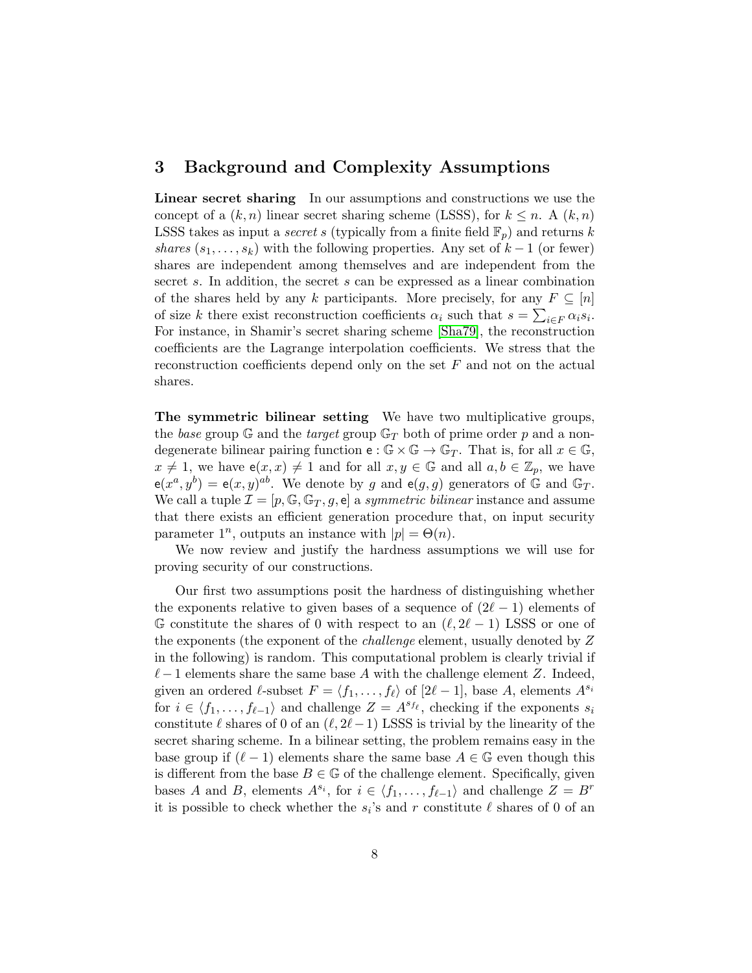## 3 Background and Complexity Assumptions

Linear secret sharing In our assumptions and constructions we use the concept of a  $(k, n)$  linear secret sharing scheme (LSSS), for  $k \leq n$ . A  $(k, n)$ LSSS takes as input a *secret s* (typically from a finite field  $\mathbb{F}_p$ ) and returns k shares  $(s_1, \ldots, s_k)$  with the following properties. Any set of  $k-1$  (or fewer) shares are independent among themselves and are independent from the secret s. In addition, the secret s can be expressed as a linear combination of the shares held by any k participants. More precisely, for any  $F \subseteq [n]$ of size k there exist reconstruction coefficients  $\alpha_i$  such that  $s = \sum_{i \in F} \alpha_i s_i$ . For instance, in Shamir's secret sharing scheme [\[Sha79\]](#page-27-3), the reconstruction coefficients are the Lagrange interpolation coefficients. We stress that the reconstruction coefficients depend only on the set  $F$  and not on the actual shares.

The symmetric bilinear setting We have two multiplicative groups, the base group G and the target group  $\mathbb{G}_T$  both of prime order p and a nondegenerate bilinear pairing function  $e : \mathbb{G} \times \mathbb{G} \to \mathbb{G}_T$ . That is, for all  $x \in \mathbb{G}$ ,  $x \neq 1$ , we have  $e(x, x) \neq 1$  and for all  $x, y \in \mathbb{G}$  and all  $a, b \in \mathbb{Z}_p$ , we have  $e(x^a, y^b) = e(x, y)^{ab}$ . We denote by g and  $e(g, g)$  generators of G and G<sub>T</sub>. We call a tuple  $\mathcal{I} = [p, \mathbb{G}, \mathbb{G}_T, g, e]$  a symmetric bilinear instance and assume that there exists an efficient generation procedure that, on input security parameter  $1^n$ , outputs an instance with  $|p| = \Theta(n)$ .

We now review and justify the hardness assumptions we will use for proving security of our constructions.

Our first two assumptions posit the hardness of distinguishing whether the exponents relative to given bases of a sequence of  $(2\ell - 1)$  elements of G constitute the shares of 0 with respect to an  $(\ell, 2\ell - 1)$  LSSS or one of the exponents (the exponent of the *challenge* element, usually denoted by Z in the following) is random. This computational problem is clearly trivial if  $\ell - 1$  elements share the same base A with the challenge element Z. Indeed, given an ordered  $\ell$ -subset  $F = \langle f_1, \ldots, f_\ell \rangle$  of  $[2\ell - 1]$ , base A, elements  $A^{s_i}$ for  $i \in \langle f_1, \ldots, f_{\ell-1} \rangle$  and challenge  $Z = A^{s_{f_\ell}}$ , checking if the exponents  $s_i$ constitute  $\ell$  shares of 0 of an  $(\ell, 2\ell-1)$  LSSS is trivial by the linearity of the secret sharing scheme. In a bilinear setting, the problem remains easy in the base group if  $(\ell - 1)$  elements share the same base  $A \in \mathbb{G}$  even though this is different from the base  $B \in \mathbb{G}$  of the challenge element. Specifically, given bases A and B, elements  $A^{s_i}$ , for  $i \in \langle f_1, \ldots, f_{\ell-1} \rangle$  and challenge  $Z = B^r$ it is possible to check whether the  $s_i$ 's and r constitute  $\ell$  shares of 0 of an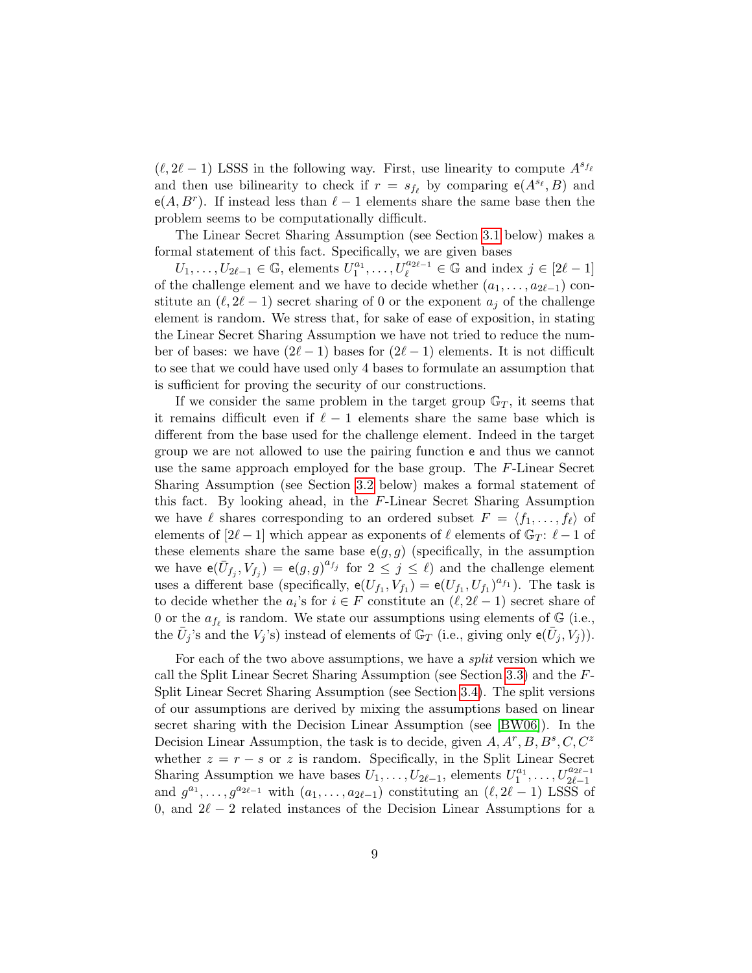$(\ell, 2\ell - 1)$  LSSS in the following way. First, use linearity to compute  $A^{s_{f_\ell}}$ and then use bilinearity to check if  $r = s_{f_\ell}$  by comparing  $e(A^{s_\ell}, B)$  and  $e(A, B^r)$ . If instead less than  $\ell - 1$  elements share the same base then the problem seems to be computationally difficult.

The Linear Secret Sharing Assumption (see Section [3.1](#page-9-0) below) makes a formal statement of this fact. Specifically, we are given bases

 $U_1, \ldots, U_{2\ell-1} \in \mathbb{G}$ , elements  $U_1^{a_1}, \ldots, U_{\ell}^{a_{2\ell-1}} \in \mathbb{G}$  and index  $j \in [2\ell-1]$ of the challenge element and we have to decide whether  $(a_1, \ldots, a_{2\ell-1})$  constitute an  $(\ell, 2\ell - 1)$  secret sharing of 0 or the exponent  $a_j$  of the challenge element is random. We stress that, for sake of ease of exposition, in stating the Linear Secret Sharing Assumption we have not tried to reduce the number of bases: we have  $(2\ell - 1)$  bases for  $(2\ell - 1)$  elements. It is not difficult to see that we could have used only 4 bases to formulate an assumption that is sufficient for proving the security of our constructions.

If we consider the same problem in the target group  $\mathbb{G}_T$ , it seems that it remains difficult even if  $\ell - 1$  elements share the same base which is different from the base used for the challenge element. Indeed in the target group we are not allowed to use the pairing function e and thus we cannot use the same approach employed for the base group. The F-Linear Secret Sharing Assumption (see Section [3.2](#page-9-1) below) makes a formal statement of this fact. By looking ahead, in the  $F$ -Linear Secret Sharing Assumption we have  $\ell$  shares corresponding to an ordered subset  $F = \langle f_1, \ldots, f_\ell \rangle$  of elements of  $[2\ell - 1]$  which appear as exponents of  $\ell$  elements of  $\mathbb{G}_T : \ell - 1$  of these elements share the same base  $e(g, g)$  (specifically, in the assumption we have  $e(\bar{U}_{f_j}, V_{f_j}) = e(g, g)^{a_{f_j}}$  for  $2 \leq j \leq \ell$ ) and the challenge element uses a different base (specifically,  $e(U_{f_1}, V_{f_1}) = e(U_{f_1}, U_{f_1})^{a_{f_1}}$ ). The task is to decide whether the  $a_i$ 's for  $i \in F$  constitute an  $(\ell, 2\ell - 1)$  secret share of 0 or the  $a_{f_\ell}$  is random. We state our assumptions using elements of G (i.e., the  $\bar{U}_j$ 's and the  $V_j$ 's) instead of elements of  $\mathbb{G}_T$  (i.e., giving only  $e(\bar{U}_j, V_j)$ ).

For each of the two above assumptions, we have a *split* version which we call the Split Linear Secret Sharing Assumption (see Section [3.3\)](#page-10-0) and the F-Split Linear Secret Sharing Assumption (see Section [3.4\)](#page-11-0). The split versions of our assumptions are derived by mixing the assumptions based on linear secret sharing with the Decision Linear Assumption (see [\[BW06\]](#page-26-3)). In the Decision Linear Assumption, the task is to decide, given  $A, A^r, B, B^s, C, C^z$ whether  $z = r - s$  or z is random. Specifically, in the Split Linear Secret Sharing Assumption we have bases  $\overrightarrow{U_1}, \ldots, \overrightarrow{U_{2\ell-1}}$ , elements  $\overrightarrow{U_1}^{a_1}, \ldots, \overrightarrow{U_{2\ell-1}^{a_{2\ell-1}}}$ and  $g^{a_1}, \ldots, g^{a_{2\ell-1}}$  with  $(a_1, \ldots, a_{2\ell-1})$  constituting an  $(\ell, 2\ell-1)$  LSSS of 0, and  $2\ell - 2$  related instances of the Decision Linear Assumptions for a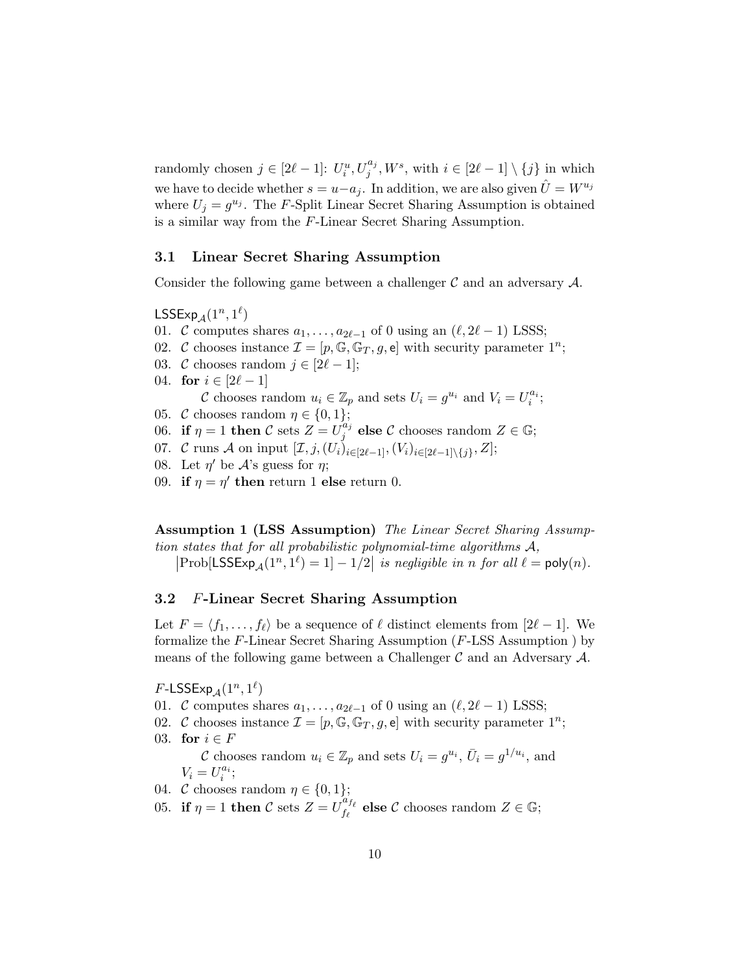randomly chosen  $j \in [2\ell - 1]$ :  $U_i^u, U_j^{a_j}, W^s$ , with  $i \in [2\ell - 1] \setminus \{j\}$  in which we have to decide whether  $s = u - a_j$ . In addition, we are also given  $\hat{U} = W^{u_j}$ where  $U_j = g^{u_j}$ . The F-Split Linear Secret Sharing Assumption is obtained is a similar way from the F-Linear Secret Sharing Assumption.

#### <span id="page-9-0"></span>3.1 Linear Secret Sharing Assumption

Consider the following game between a challenger  $\mathcal C$  and an adversary  $\mathcal A$ .

 $\mathsf{LSSExp}_\mathcal{A}(1^n,1^\ell)$ 

- 01. C computes shares  $a_1, \ldots, a_{2\ell-1}$  of 0 using an  $(\ell, 2\ell 1)$  LSSS;
- 02. C chooses instance  $\mathcal{I} = [p, \mathbb{G}, \mathbb{G}_T, g, e]$  with security parameter  $1^n$ ;
- 03. C chooses random  $j \in [2\ell 1];$
- 04. for  $i \in [2\ell 1]$ C chooses random  $u_i \in \mathbb{Z}_p$  and sets  $U_i = g^{u_i}$  and  $V_i = U_i^{a_i}$ ; 05. C chooses random  $\eta \in \{0, 1\};$
- 
- 06. if  $\eta = 1$  then C sets  $Z = U_i^{a_j}$  $j^{a_j}$  else  $\mathcal C$  chooses random  $Z\in\mathbb G;$
- 07. C runs A on input  $[\mathcal{I}, j, (U_i)_{i \in [2\ell-1]}, (V_i)_{i \in [2\ell-1] \setminus \{j\}}, Z]$ ;
- 08. Let  $\eta'$  be  $\mathcal{A}$ 's guess for  $\eta$ ;
- 09. if  $\eta = \eta'$  then return 1 else return 0.

Assumption 1 (LSS Assumption) The Linear Secret Sharing Assumption states that for all probabilistic polynomial-time algorithms  $A$ ,

 $\left|\text{Prob}[\textsf{LSSExp}_\mathcal{A}(1^n, 1^\ell) = 1] - 1/2\right|$  is negligible in n for all  $\ell = \textsf{poly}(n)$ .

#### <span id="page-9-1"></span>3.2 F-Linear Secret Sharing Assumption

Let  $F = \langle f_1, \ldots, f_\ell \rangle$  be a sequence of  $\ell$  distinct elements from [2 $\ell - 1$ ]. We formalize the  $F$ -Linear Secret Sharing Assumption ( $F$ -LSS Assumption) by means of the following game between a Challenger  $\mathcal C$  and an Adversary  $\mathcal A$ .

 $F\text{-LSSExp}_{\mathcal{A}}(1^n,1^\ell)$ 

- 01. C computes shares  $a_1, \ldots, a_{2\ell-1}$  of 0 using an  $(\ell, 2\ell 1)$  LSSS;
- 02. C chooses instance  $\mathcal{I} = [p, \mathbb{G}, \mathbb{G}_T, g, e]$  with security parameter  $1^n$ ; 03. for  $i \in F$

C chooses random  $u_i \in \mathbb{Z}_p$  and sets  $U_i = g^{u_i}$ ,  $\overline{U}_i = g^{1/u_i}$ , and  $V_i = U_i^{a_i};$ 

04. C chooses random  $\eta \in \{0, 1\};$ 

05. if  $\eta = 1$  then C sets  $Z = U_{f_e}^{a_{f_e}}$  $f_{\ell}^{a_{f_{\ell}}}$  else  $\mathcal C$  chooses random  $Z \in \mathbb G;$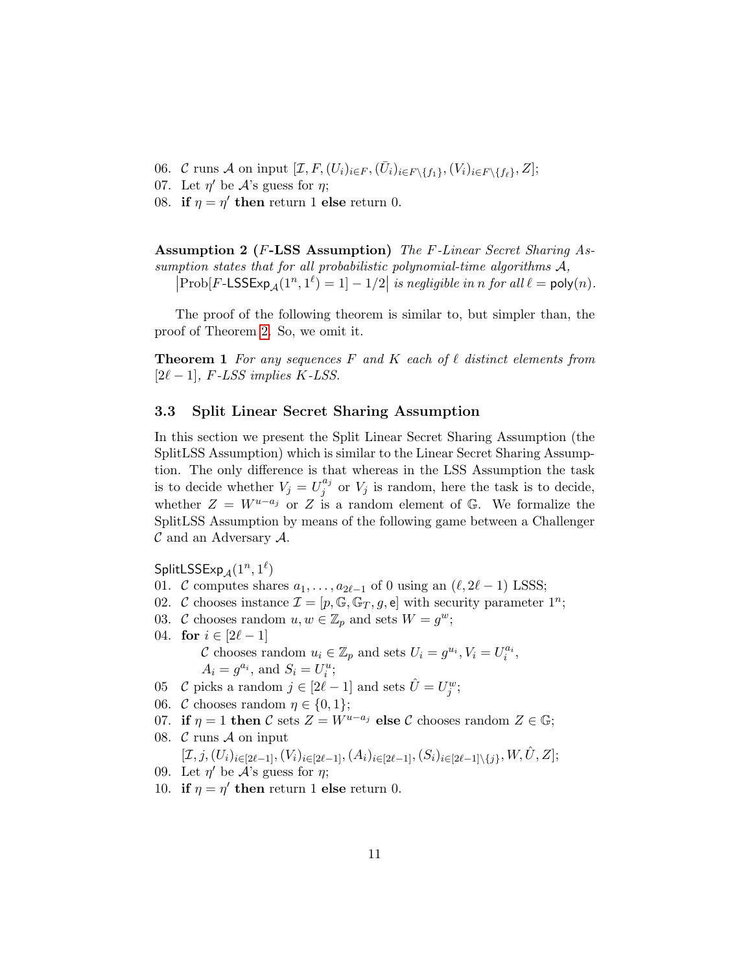- 06. C runs A on input  $[\mathcal{I}, F, (U_i)_{i \in F}, (\bar{U}_i)_{i \in F \setminus \{f_1\}}, (V_i)_{i \in F \setminus \{f_\ell\}}, Z];$
- 07. Let  $\eta'$  be  $\mathcal{A}$ 's guess for  $\eta$ ;
- 08. if  $\eta = \eta'$  then return 1 else return 0.

Assumption 2 (F-LSS Assumption) The F-Linear Secret Sharing Assumption states that for all probabilistic polynomial-time algorithms A,

 $\left|\text{Prob}[F\text{-LSSExp}_\mathcal{A}(1^n, 1^\ell) = 1] - 1/2\right|$  is negligible in n for all  $\ell = \text{poly}(n)$ .

The proof of the following theorem is similar to, but simpler than, the proof of Theorem [2.](#page-11-1) So, we omit it.

**Theorem 1** For any sequences F and K each of  $\ell$  distinct elements from  $[2\ell - 1]$ , F-LSS implies K-LSS.

#### <span id="page-10-0"></span>3.3 Split Linear Secret Sharing Assumption

In this section we present the Split Linear Secret Sharing Assumption (the SplitLSS Assumption) which is similar to the Linear Secret Sharing Assumption. The only difference is that whereas in the LSS Assumption the task is to decide whether  $V_j = U_j^{a_j}$  $j_j^{u_j}$  or  $V_j$  is random, here the task is to decide, whether  $Z = W^{u-a_j}$  or Z is a random element of  $\mathbb{G}$ . We formalize the SplitLSS Assumption by means of the following game between a Challenger  $\mathcal C$  and an Adversary  $\mathcal A$ .

 $\mathsf{SplitLSSExp}_\mathcal{A}(1^n,1^\ell)$ 

- 01. C computes shares  $a_1, \ldots, a_{2\ell-1}$  of 0 using an  $(\ell, 2\ell 1)$  LSSS;
- 02. C chooses instance  $\mathcal{I} = [p, \mathbb{G}, \mathbb{G}_T, g, e]$  with security parameter  $1^n$ ;
- 03. C chooses random  $u, w \in \mathbb{Z}_p$  and sets  $W = g^w$ ;
- 04. **for**  $i \in [2\ell 1]$ C chooses random  $u_i \in \mathbb{Z}_p$  and sets  $U_i = g^{u_i}, V_i = U_i^{a_i}$ ,  $A_i = g^{a_i}$ , and  $S_i = U_i^u$ ;
- 05 C picks a random  $j \in [2\ell 1]$  and sets  $\hat{U} = U_j^w$ ;
- 06. C chooses random  $\eta \in \{0, 1\};$
- 07. if  $\eta = 1$  then C sets  $Z = W^{u-a_j}$  else C chooses random  $Z \in \mathbb{G}$ ;
- 08.  $\mathcal{C}$  runs  $\mathcal{A}$  on input  $[\mathcal{I},j,(U_i)_{i\in[2\ell-1]},(V_i)_{i\in[2\ell-1]},(A_i)_{i\in[2\ell-1]},(S_i)_{i\in[2\ell-1]\setminus\{j\}},W,\hat{U},Z];$
- 09. Let  $\eta'$  be  $\mathcal{A}$ 's guess for  $\eta$ ;
- 10. if  $\eta = \eta'$  then return 1 else return 0.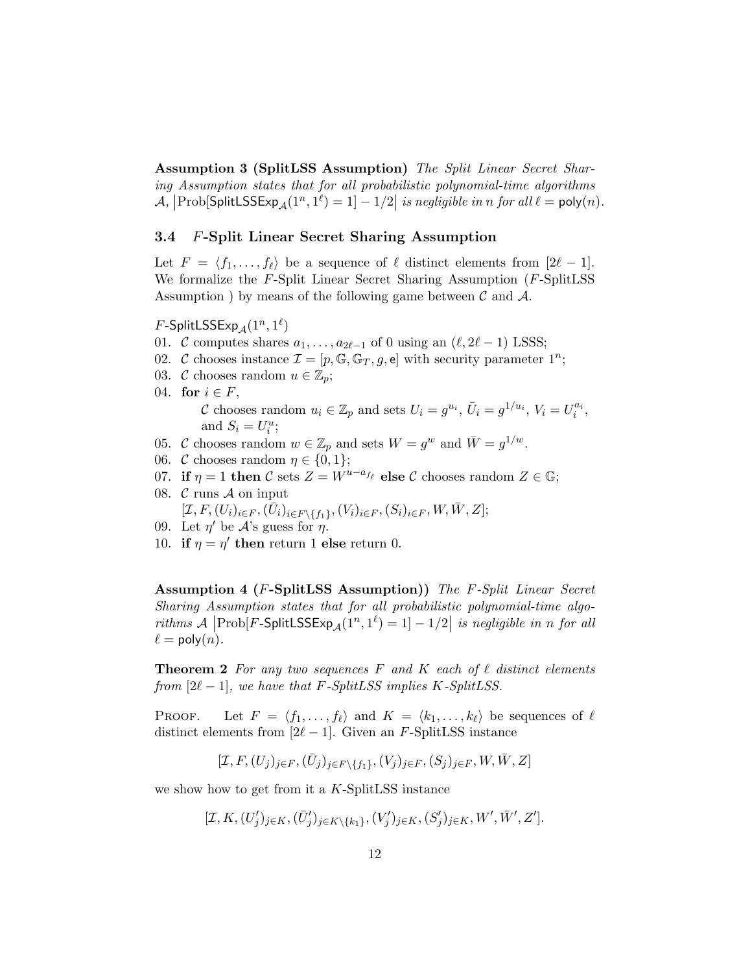Assumption 3 (SplitLSS Assumption) The Split Linear Secret Sharing Assumption states that for all probabilistic polynomial-time algorithms  $\mathcal{A},$   $\big|\text{Prob}[\textsf{SplitLSSExp}_{\mathcal{A}}(1^n,1^{\ell})=1]-1/2\big|$  is negligible in n for all  $\ell=\textsf{poly}(n)$ .

#### <span id="page-11-0"></span>3.4 F-Split Linear Secret Sharing Assumption

Let  $F = \langle f_1, \ldots, f_\ell \rangle$  be a sequence of  $\ell$  distinct elements from  $[2\ell - 1]$ . We formalize the F-Split Linear Secret Sharing Assumption (F-SplitLSS Assumption ) by means of the following game between  $\mathcal C$  and  $\mathcal A$ .

 $F\text{-}\mathsf{SplitLSSExp}_{\mathcal{A}}(1^n,1^\ell)$ 

- 01. C computes shares  $a_1, \ldots, a_{2\ell-1}$  of 0 using an  $(\ell, 2\ell 1)$  LSSS;
- 02. C chooses instance  $\mathcal{I} = [p, \mathbb{G}, \mathbb{G}_T, g, e]$  with security parameter  $1^n$ ;
- 03. C chooses random  $u \in \mathbb{Z}_p$ ;
- 04. for  $i \in F$ , C chooses random  $u_i \in \mathbb{Z}_p$  and sets  $U_i = g^{u_i}$ ,  $\bar{U}_i = g^{1/u_i}$ ,  $V_i = U_i^{a_i}$ , and  $S_i = U_i^u$ ;
- 05. C chooses random  $w \in \mathbb{Z}_p$  and sets  $W = g^w$  and  $\overline{W} = g^{1/w}$ .
- 06. C chooses random  $\eta \in \{0, 1\};$
- 07. if  $\eta = 1$  then C sets  $Z = W^{u-a_{f_\ell}}$  else C chooses random  $Z \in \mathbb{G}$ ;
- 08.  $\mathcal C$  runs  $\mathcal A$  on input  $[\mathcal{I}, F, (U_i)_{i \in F}, (\bar{U}_i)_{i \in F \setminus \{f_1\}}, (V_i)_{i \in F}, (S_i)_{i \in F}, W, \bar{W}, Z];$
- 09. Let  $\eta'$  be  $\mathcal{A}$ 's guess for  $\eta$ .
- 10. if  $\eta = \eta'$  then return 1 else return 0.

Assumption 4 (F-SplitLSS Assumption)) The F-Split Linear Secret Sharing Assumption states that for all probabilistic polynomial-time algorithms  $\mathcal{A}$   $\left[\text{Prob}[F\text{-SplitLSSExp}_{\mathcal{A}}(1^n,1^\ell)=1]-1/2\right]$  is negligible in n for all  $\ell = \text{poly}(n)$ .

<span id="page-11-1"></span>**Theorem 2** For any two sequences F and K each of  $\ell$  distinct elements from  $[2\ell - 1]$ , we have that F-SplitLSS implies K-SplitLSS.

PROOF. Let  $F = \langle f_1, \ldots, f_\ell \rangle$  and  $K = \langle k_1, \ldots, k_\ell \rangle$  be sequences of  $\ell$ distinct elements from  $[2\ell - 1]$ . Given an F-SplitLSS instance

$$
[\mathcal{I},F,(U_j)_{j\in F},(\bar{U}_j)_{j\in F\backslash\{f_1\}},(V_j)_{j\in F},(S_j)_{j\in F},W,\bar{W},Z]
$$

we show how to get from it a  $K$ -SplitLSS instance

$$
[\mathcal{I}, K, (U'_j)_{j \in K}, (\bar{U}'_j)_{j \in K \setminus \{k_1\}}, (V'_j)_{j \in K}, (S'_j)_{j \in K}, W', \bar{W}', Z'].
$$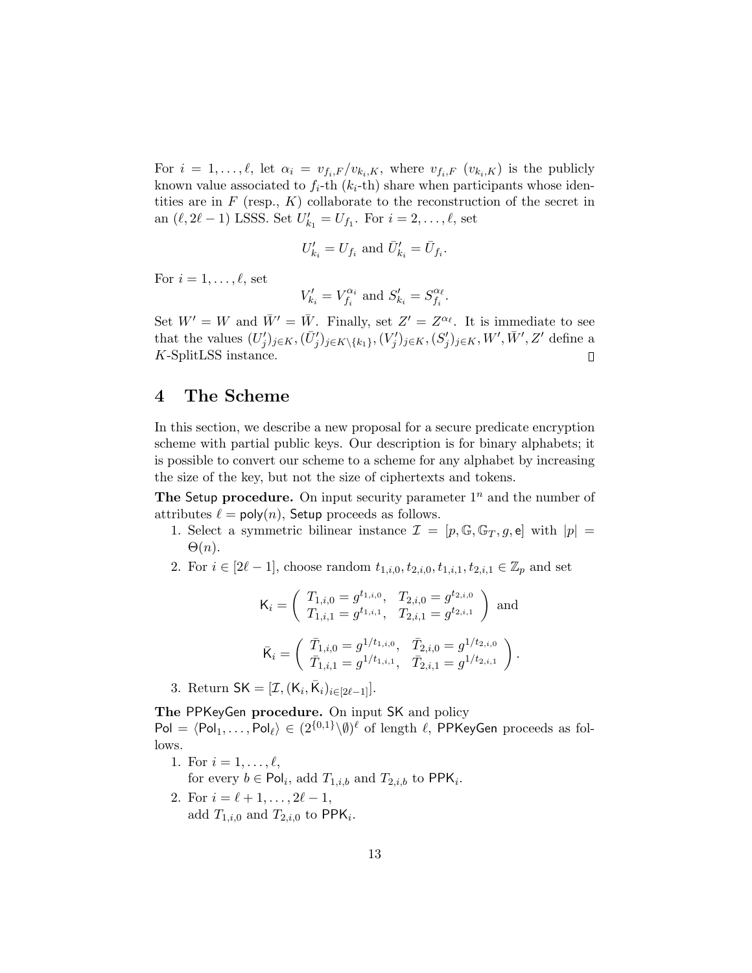For  $i = 1, \ldots, \ell$ , let  $\alpha_i = v_{f_i, F} / v_{k_i, K}$ , where  $v_{f_i, F} (v_{k_i, K})$  is the publicly known value associated to  $f_i$ -th  $(k_i$ -th) share when participants whose identities are in  $F$  (resp.,  $K$ ) collaborate to the reconstruction of the secret in an  $(\ell, 2\ell - 1)$  LSSS. Set  $U'_{k_1} = U_{f_1}$ . For  $i = 2, \ldots, \ell$ , set

$$
U'_{k_i} = U_{f_i} \text{ and } \bar{U}'_{k_i} = \bar{U}_{f_i}.
$$

For  $i = 1, \ldots, \ell$ , set

$$
V'_{k_i} = V_{f_i}^{\alpha_i} \text{ and } S'_{k_i} = S_{f_i}^{\alpha_\ell}.
$$

Set  $W' = W$  and  $\bar{W}' = \bar{W}$ . Finally, set  $Z' = Z^{\alpha_{\ell}}$ . It is immediate to see that the values  $(U'_j)_{j \in K}, (\bar{U}'_j)_{j \in K \setminus \{k_1\}}, (V'_j)_{j \in K}, (S'_j)_{j \in K}, W', \bar{W}', Z'$  define a K-SplitLSS instance.  $\Box$ 

## <span id="page-12-0"></span>4 The Scheme

In this section, we describe a new proposal for a secure predicate encryption scheme with partial public keys. Our description is for binary alphabets; it is possible to convert our scheme to a scheme for any alphabet by increasing the size of the key, but not the size of ciphertexts and tokens.

**The Setup procedure.** On input security parameter  $1^n$  and the number of attributes  $\ell = \text{poly}(n)$ , Setup proceeds as follows.

- 1. Select a symmetric bilinear instance  $\mathcal{I} = [p, \mathbb{G}, \mathbb{G}_T, g, e]$  with  $|p| =$  $\Theta(n)$ .
- 2. For  $i \in [2\ell 1]$ , choose random  $t_{1,i,0}, t_{2,i,0}, t_{1,i,1}, t_{2,i,1} \in \mathbb{Z}_p$  and set

$$
\mathsf{K}_{i} = \begin{pmatrix} T_{1,i,0} = g^{t_{1,i,0}}, & T_{2,i,0} = g^{t_{2,i,0}} \\ T_{1,i,1} = g^{t_{1,i,1}}, & T_{2,i,1} = g^{t_{2,i,1}} \end{pmatrix} \text{ and }
$$
  

$$
\bar{\mathsf{K}}_{i} = \begin{pmatrix} \bar{T}_{1,i,0} = g^{1/t_{1,i,0}}, & \bar{T}_{2,i,0} = g^{1/t_{2,i,0}} \\ \bar{T}_{1,i,1} = g^{1/t_{1,i,1}}, & \bar{T}_{2,i,1} = g^{1/t_{2,i,1}} \end{pmatrix}.
$$

3. Return  $SK = [\mathcal{I}, (K_i, \overline{K}_i)_{i \in [2\ell-1]}].$ 

The PPKeyGen procedure. On input SK and policy

 $Pol = \langle Pol_1, \ldots, Pol_\ell \rangle \in (2^{\{0,1\}} \backslash \emptyset)^\ell$  of length  $\ell$ , PPKeyGen proceeds as follows.

- 1. For  $i = 1, \ldots, \ell$ , for every  $b \in \text{Pol}_i$ , add  $T_{1,i,b}$  and  $T_{2,i,b}$  to  $\text{PPK}_i$ .
- 2. For  $i = \ell + 1, \ldots, 2\ell 1$ , add  $T_{1,i,0}$  and  $T_{2,i,0}$  to PPK<sub>i</sub>.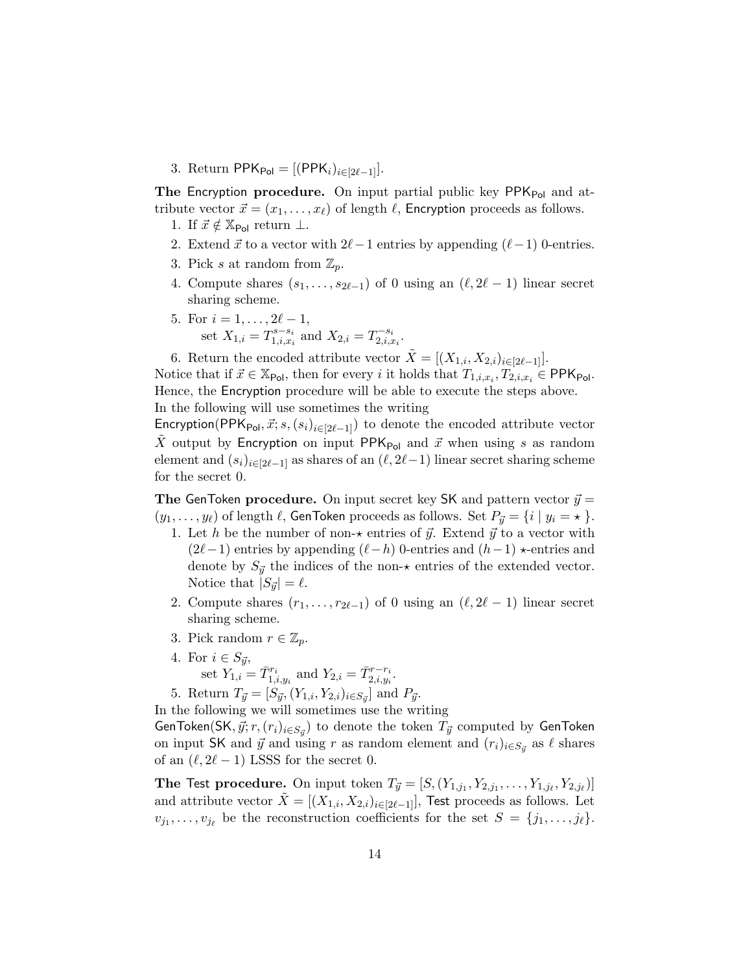3. Return PPK<sub>Pol</sub> = [(PPK<sub>i</sub>)<sub>i∈[2 $\ell$ -1].</sub>

**The Encryption procedure.** On input partial public key  $PPK_{Pol}$  and attribute vector  $\vec{x} = (x_1, \ldots, x_\ell)$  of length  $\ell$ , Encryption proceeds as follows.

- 1. If  $\vec{x} \notin \mathbb{X}_{\text{Pol}}$  return  $\perp$ .
- 2. Extend  $\vec{x}$  to a vector with  $2\ell-1$  entries by appending  $(\ell-1)$  0-entries.
- 3. Pick s at random from  $\mathbb{Z}_p$ .
- 4. Compute shares  $(s_1, \ldots, s_{2\ell-1})$  of 0 using an  $(\ell, 2\ell 1)$  linear secret sharing scheme.
- 5. For  $i = 1, \ldots, 2\ell 1$ , set  $X_{1,i} = T_{1,i,x_i}^{s-s_i}$  $x_1^{s-s_i}$  and  $X_{2,i} = T_{2,i,x}^{-s_i}$  $\scriptstyle{\frac{n-s_i}{2,i,x_i}.}$

6. Return the encoded attribute vector  $\tilde{X} = [(X_{1,i}, X_{2,i})_{i \in [2\ell-1]}].$ 

Notice that if  $\vec{x} \in \mathbb{X}_{\text{Pol}}$ , then for every i it holds that  $T_{1,i,x_i}, T_{2,i,x_i} \in \text{PPK}_{\text{Pol}}$ . Hence, the Encryption procedure will be able to execute the steps above.

In the following will use sometimes the writing

Encryption(PPK<sub>Pol</sub>,  $\vec{x}; s,(s_i)_{i\in[2\ell-1]})$  to denote the encoded attribute vector  $\tilde{X}$  output by Encryption on input PPK<sub>Pol</sub> and  $\vec{x}$  when using s as random element and  $(s_i)_{i\in[2\ell-1]}$  as shares of an  $(\ell, 2\ell-1)$  linear secret sharing scheme for the secret 0.

The GenToken procedure. On input secret key SK and pattern vector  $\vec{y} =$  $(y_1, \ldots, y_\ell)$  of length  $\ell$ , GenToken proceeds as follows. Set  $P_{\vec{y}} = \{i \mid y_i = \star\}$ .

- 1. Let h be the number of non- $\star$  entries of  $\vec{y}$ . Extend  $\vec{y}$  to a vector with  $(2\ell-1)$  entries by appending  $(\ell-h)$  0-entries and  $(h-1) \star$ -entries and denote by  $S_{\vec{y}}$  the indices of the non- $\star$  entries of the extended vector. Notice that  $|S_{\vec{y}}| = \ell$ .
- 2. Compute shares  $(r_1, \ldots, r_{2\ell-1})$  of 0 using an  $(\ell, 2\ell 1)$  linear secret sharing scheme.
- 3. Pick random  $r \in \mathbb{Z}_p$ .
- 4. For  $i \in S_{\vec{y}}$ , set  $Y_{1,i} = \overline{T}_{1,i,y_i}^{r_i}$  and  $Y_{2,i} = \overline{T}_{2,i,y_i}^{r-r_i}$ .
- 5. Return  $T_{\vec{y}} = [S_{\vec{y}}, (Y_{1,i}, Y_{2,i})_{i \in S_{\vec{y}}}]$  and  $P_{\vec{y}}$ .

In the following we will sometimes use the writing

GenToken(SK,  $\vec{y}; r, (r_i)_{i \in S_{\vec{y}}} )$  to denote the token  $T_{\vec{y}}$  computed by GenToken on input SK and  $\vec{y}$  and using r as random element and  $(r_i)_{i \in S_{\vec{y}}}$  as  $\ell$  shares of an  $(\ell, 2\ell - 1)$  LSSS for the secret 0.

**The Test procedure.** On input token  $T_{\vec{y}} = [S,(Y_{1,j_1}, Y_{2,j_1}, \ldots, Y_{1,j_\ell}, Y_{2,j_\ell})]$ and attribute vector  $X = [(X_{1,i}, X_{2,i})_{i\in[2\ell-1]}]$ , Test proceeds as follows. Let  $v_{j_1}, \ldots, v_{j_\ell}$  be the reconstruction coefficients for the set  $S = \{j_1, \ldots, j_\ell\}.$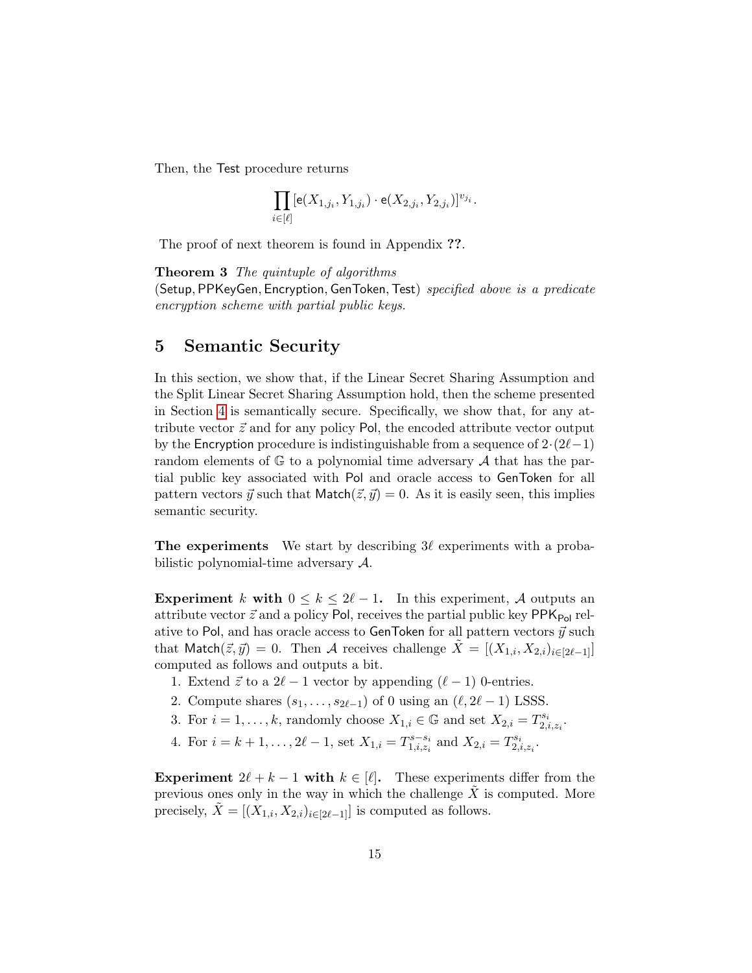Then, the Test procedure returns

$$
\prod_{i\in [\ell]} [{\mathsf e}(X_{1,j_i}, Y_{1,j_i})\cdot {\mathsf e}(X_{2,j_i}, Y_{2,j_i})]^{v_{j_i}}.
$$

The proof of next theorem is found in Appendix ??.

Theorem 3 The quintuple of algorithms (Setup, PPKeyGen, Encryption, GenToken, Test) specified above is a predicate encryption scheme with partial public keys.

## 5 Semantic Security

In this section, we show that, if the Linear Secret Sharing Assumption and the Split Linear Secret Sharing Assumption hold, then the scheme presented in Section [4](#page-12-0) is semantically secure. Specifically, we show that, for any attribute vector  $\vec{z}$  and for any policy Pol, the encoded attribute vector output by the Encryption procedure is indistinguishable from a sequence of  $2·(2\ell-1)$ random elements of  $\mathbb{G}$  to a polynomial time adversary  $\mathcal A$  that has the partial public key associated with Pol and oracle access to GenToken for all pattern vectors  $\vec{y}$  such that Match $(\vec{z}, \vec{y}) = 0$ . As it is easily seen, this implies semantic security.

**The experiments** We start by describing  $3\ell$  experiments with a probabilistic polynomial-time adversary A.

Experiment k with  $0 \leq k \leq 2\ell - 1$ . In this experiment, A outputs an attribute vector  $\vec{z}$  and a policy Pol, receives the partial public key PPK<sub>Pol</sub> relative to Pol, and has oracle access to GenToken for all pattern vectors  $\vec{y}$  such that Match $(\vec{z}, \vec{y}) = 0$ . Then A receives challenge  $\tilde{X} = [(X_{1,i}, X_{2,i})_{i \in [2\ell-1]}]$ computed as follows and outputs a bit.

- 1. Extend  $\vec{z}$  to a 2 $\ell 1$  vector by appending  $(\ell 1)$  0-entries.
- 2. Compute shares  $(s_1, \ldots, s_{2\ell-1})$  of 0 using an  $(\ell, 2\ell 1)$  LSSS.
- 3. For  $i = 1, \ldots, k$ , randomly choose  $X_{1,i} \in \mathbb{G}$  and set  $X_{2,i} = T_{2,i}^{s_i}$  $_{2,i,z_i}^{s_i}.$
- 4. For  $i = k + 1, \ldots, 2\ell 1$ , set  $X_{1,i} = T_{1,i,z_i}^{s s_i}$  $x_1^{s-s_i}$  and  $X_{2,i} = T_{2,i}^{s_i}$ 1 $s_i \over 2,i,z_i$  .

Experiment  $2\ell + k - 1$  with  $k \in [\ell]$ . These experiments differ from the previous ones only in the way in which the challenge  $\tilde{X}$  is computed. More precisely,  $\tilde{X} = [(X_{1,i}, X_{2,i})_{i \in [2\ell-1]}]$  is computed as follows.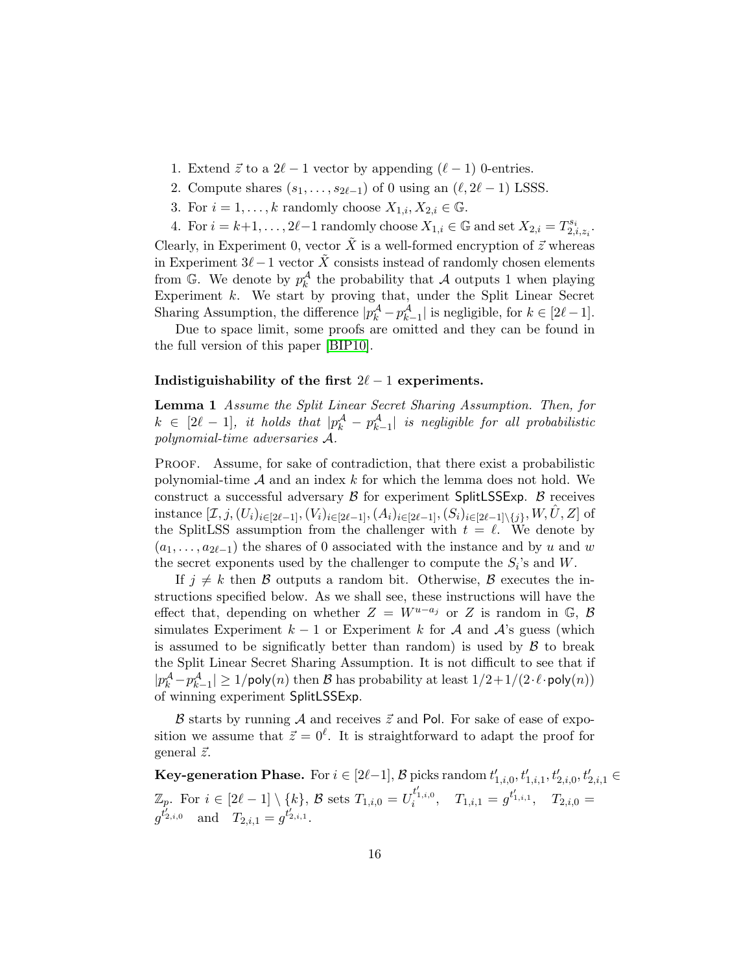- 1. Extend  $\vec{z}$  to a  $2\ell 1$  vector by appending  $(\ell 1)$  0-entries.
- 2. Compute shares  $(s_1, \ldots, s_{2\ell-1})$  of 0 using an  $(\ell, 2\ell 1)$  LSSS.
- 3. For  $i = 1, \ldots, k$  randomly choose  $X_{1,i}, X_{2,i} \in \mathbb{G}$ .
- 4. For  $i = k+1, \ldots, 2\ell-1$  randomly choose  $X_{1,i} \in \mathbb{G}$  and set  $X_{2,i} = T_{2,i}^{s_i}$ 1 $\scriptstyle{{}^{13}i}_{2,i,z_i}.$

Clearly, in Experiment 0, vector  $\tilde{X}$  is a well-formed encryption of  $\tilde{z}$  whereas in Experiment  $3\ell-1$  vector  $\tilde{X}$  consists instead of randomly chosen elements from  $\mathbb{G}$ . We denote by  $p_k^{\mathcal{A}}$  the probability that  $\mathcal A$  outputs 1 when playing Experiment  $k$ . We start by proving that, under the Split Linear Secret Sharing Assumption, the difference  $|p_k^{\mathcal{A}} - p_{k-1}^{\mathcal{A}}|$  is negligible, for  $k \in [2\ell - 1]$ .

Due to space limit, some proofs are omitted and they can be found in the full version of this paper [\[BIP10\]](#page-26-4).

#### <span id="page-15-0"></span>Indistiguishability of the first  $2\ell - 1$  experiments.

Lemma 1 Assume the Split Linear Secret Sharing Assumption. Then, for  $k \in [2\ell - 1],$  it holds that  $|p_k^{\mathcal{A}} - p_{k-1}^{\mathcal{A}}|$  is negligible for all probabilistic polynomial-time adversaries A.

Proof. Assume, for sake of contradiction, that there exist a probabilistic polynomial-time  $A$  and an index  $k$  for which the lemma does not hold. We construct a successful adversary  $\beta$  for experiment SplitLSSExp.  $\beta$  receives instance  $[\mathcal{I}, j, (U_i)_{i \in [2\ell-1]}, (V_i)_{i \in [2\ell-1]},(A_i)_{i \in [2\ell-1]},(S_i)_{i \in [2\ell-1]\setminus\{j\}}, W, \hat{U}, Z]$  of the SplitLSS assumption from the challenger with  $t = \ell$ . We denote by  $(a_1, \ldots, a_{2\ell-1})$  the shares of 0 associated with the instance and by u and w the secret exponents used by the challenger to compute the  $S_i$ 's and W.

If  $j \neq k$  then B outputs a random bit. Otherwise, B executes the instructions specified below. As we shall see, these instructions will have the effect that, depending on whether  $Z = W^{u-a_j}$  or Z is random in G, B simulates Experiment  $k-1$  or Experiment k for A and A's guess (which is assumed to be significatly better than random) is used by  $\beta$  to break the Split Linear Secret Sharing Assumption. It is not difficult to see that if  $|p^{\mathcal{A}}_k-p^{\mathcal{A}}_{k-1}|\geq 1/\mathsf{poly}(n)$  then  $\mathcal B$  has probability at least  $1/2+1/(2\cdot\ell\cdot\mathsf{poly}(n))$ of winning experiment SplitLSSExp.

 $\beta$  starts by running A and receives  $\vec{z}$  and Pol. For sake of ease of exposition we assume that  $\vec{z} = 0^{\ell}$ . It is straightforward to adapt the proof for general  $\vec{z}$ .

**Key-generation Phase.** For  $i \in [2\ell-1]$ ,  $\mathcal{B}$  picks random  $t'_{1,i,0}, t'_{1,i,1}, t'_{2,i,0}, t'_{2,i,1} \in$  $\mathbb{Z}_p$ . For  $i \in [2\ell - 1] \setminus \{k\}, \ \mathcal{B} \text{ sets } T_{1,i,0} = U_i^{t'_{1,i,0}}, \quad T_{1,i,1} = g^{t'_{1,i,1}}, \quad T_{2,i,0} = 0$  $g^{t'_{2,i,0}}$  and  $T_{2,i,1} = g^{t'_{2,i,1}}$ .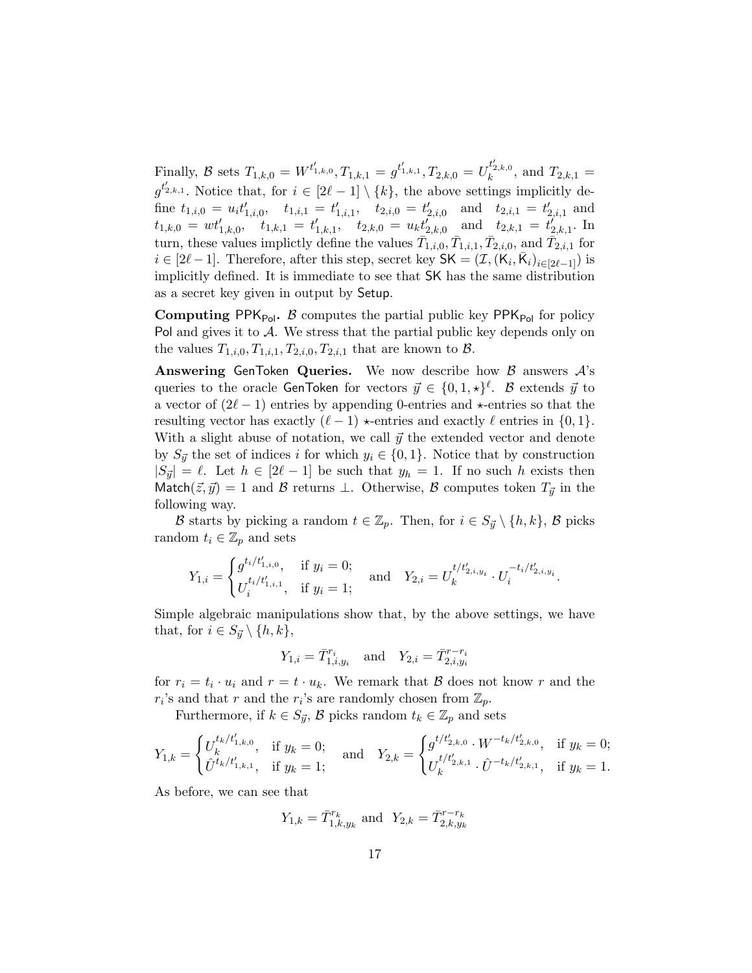Finally, B sets  $T_{1,k,0} = W^{t'_{1,k,0}}, T_{1,k,1} = g^{t'_{1,k,1}}, T_{2,k,0} = U_k^{t'_{2,k,0}},$  and  $T_{2,k,1} =$  $g^{t'_{2,k,1}}$ . Notice that, for  $i \in [2\ell-1] \setminus \{k\}$ , the above settings implicitly define  $t_{1,i,0} = u_i t'_{1,i,0}, \quad t_{1,i,1} = t'_{1,i,1}, \quad t_{2,i,0} = t'_{2,i,0} \quad \text{and} \quad t_{2,i,1} = t'_{2,i,1} \text{ and}$  $t_{1,k,0} = wt'_{1,k,0}, \t\hat{t}_{1,k,1} = t'_{1,k,1}, \t t_{2,k,0} = u_k t'_{2,k,0} \text{ and } t_{2,k,1} = t'_{2,k,1}.$  In turn, these values implictly define the values  $\bar{T}_{1,i,0}, \bar{T}_{1,i,1}, \bar{T}_{2,i,0},$  and  $\bar{T}_{2,i,1}$  for  $i \in [2\ell-1]$ . Therefore, after this step, secret key  $SK = (\mathcal{I}, (K_i, \bar{K}_i)_{i \in [2\ell-1]})$  is implicitly defined. It is immediate to see that SK has the same distribution as a secret key given in output by Setup.

**Computing PPK**<sub>Pol</sub>. B computes the partial public key PPK<sub>Pol</sub> for policy Pol and gives it to  $A$ . We stress that the partial public key depends only on the values  $T_{1,i,0}, T_{1,i,1}, T_{2,i,0}, T_{2,i,1}$  that are known to  $\beta$ .

Answering GenToken Queries. We now describe how  $\beta$  answers  $\mathcal{A}$ 's queries to the oracle GenToken for vectors  $\vec{y} \in \{0, 1, \star\}^{\ell}$ .  $\mathcal B$  extends  $\vec{y}$  to a vector of  $(2\ell - 1)$  entries by appending 0-entries and  $\star$ -entries so that the resulting vector has exactly  $(\ell - 1) \star$ -entries and exactly  $\ell$  entries in  $\{0, 1\}.$ With a slight abuse of notation, we call  $\vec{y}$  the extended vector and denote by  $S_{\vec{y}}$  the set of indices i for which  $y_i \in \{0,1\}$ . Notice that by construction  $|S_{\vec{y}}| = \ell$ . Let  $h \in [2\ell - 1]$  be such that  $y_h = 1$ . If no such h exists then Match( $(\vec{z}, \vec{y}) = 1$  and B returns  $\perp$ . Otherwise, B computes token  $T_{\vec{y}}$  in the following way.

B starts by picking a random  $t \in \mathbb{Z}_p$ . Then, for  $i \in S_{\vec{u}} \setminus \{h, k\}$ , B picks random  $t_i \in \mathbb{Z}_p$  and sets

$$
Y_{1,i} = \begin{cases} g^{t_i/t'_{1,i,0}}_{1,i}, & \text{if } y_i = 0; \\ U_i^{t_i/t'_{1,i,1}}, & \text{if } y_i = 1; \end{cases} \quad \text{and} \quad Y_{2,i} = U_k^{t/t'_{2,i,y_i}} \cdot U_i^{-t_i/t'_{2,i,y_i}}.
$$

Simple algebraic manipulations show that, by the above settings, we have that, for  $i \in S_{\vec{y}} \setminus \{h, k\},\$ 

$$
Y_{1,i} = \overline{T}_{1,i,y_i}^{r_i}
$$
 and  $Y_{2,i} = \overline{T}_{2,i,y_i}^{r-r_i}$ 

for  $r_i = t_i \cdot u_i$  and  $r = t \cdot u_k$ . We remark that  $\beta$  does not know r and the  $r_i$ 's and that r and the  $r_i$ 's are randomly chosen from  $\mathbb{Z}_p$ .

Furthermore, if  $k \in S_{\vec{y}}$ ,  $\beta$  picks random  $t_k \in \mathbb{Z}_p$  and sets

$$
Y_{1,k} = \begin{cases} U_k^{t_k/t'_{1,k,0}}, & \text{if } y_k = 0; \\ \hat{U}^{t_k/t'_{1,k,1}}, & \text{if } y_k = 1; \end{cases} \quad \text{and} \quad Y_{2,k} = \begin{cases} g^{t/t'_{2,k,0}} \cdot W^{-t_k/t'_{2,k,0}}, & \text{if } y_k = 0; \\ U_k^{t/t'_{2,k,1}} \cdot \hat{U}^{-t_k/t'_{2,k,1}}, & \text{if } y_k = 1. \end{cases}
$$

As before, we can see that

$$
Y_{1,k} = \bar{T}_{1,k,y_k}^{r_k}
$$
 and  $Y_{2,k} = \bar{T}_{2,k,y_k}^{r-r_k}$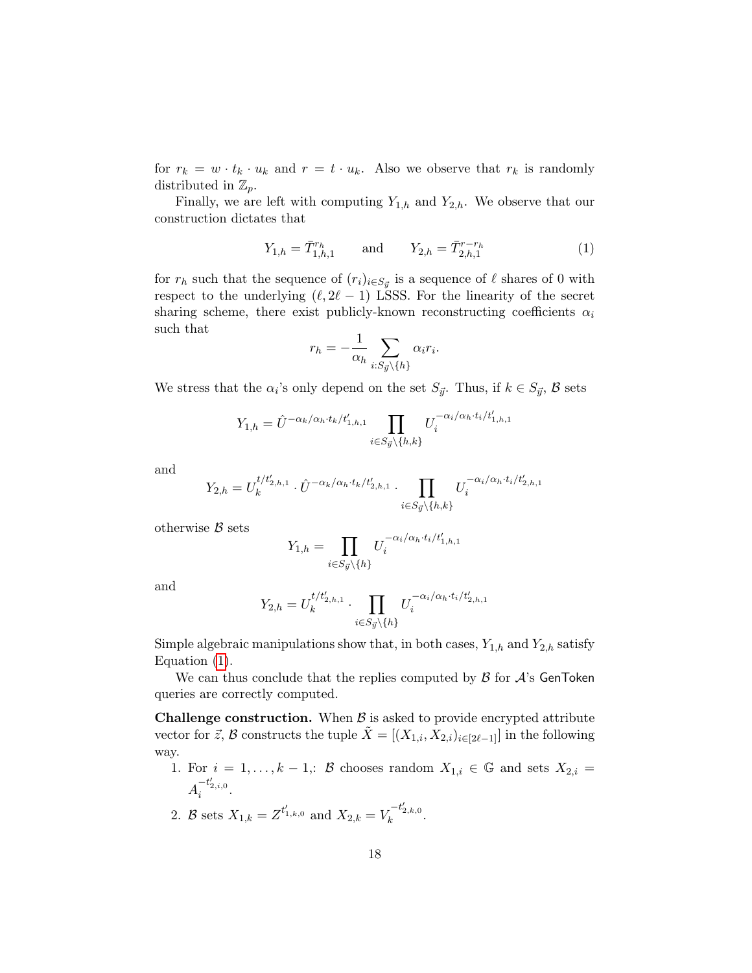for  $r_k = w \cdot t_k \cdot u_k$  and  $r = t \cdot u_k$ . Also we observe that  $r_k$  is randomly distributed in  $\mathbb{Z}_p$ .

Finally, we are left with computing  $Y_{1,h}$  and  $Y_{2,h}$ . We observe that our construction dictates that

<span id="page-17-0"></span>
$$
Y_{1,h} = \bar{T}_{1,h,1}^{r_h} \qquad \text{and} \qquad Y_{2,h} = \bar{T}_{2,h,1}^{r-r_h} \tag{1}
$$

for  $r_h$  such that the sequence of  $(r_i)_{i \in S_{\vec{y}}}$  is a sequence of  $\ell$  shares of 0 with respect to the underlying  $(\ell, 2\ell - 1)$  LSSS. For the linearity of the secret sharing scheme, there exist publicly-known reconstructing coefficients  $\alpha_i$ such that

$$
r_h = -\frac{1}{\alpha_h} \sum_{i:S_{\vec{y}}\backslash\{h\}} \alpha_i r_i.
$$

We stress that the  $\alpha_i$ 's only depend on the set  $S_{\vec{y}}$ . Thus, if  $k \in S_{\vec{y}}$ ,  $\beta$  sets

$$
Y_{1,h} = \hat{U}^{-\alpha_k/\alpha_h \cdot t_k/t_{1,h,1}'} \prod_{i \in S_{\vec{y}} \backslash \{h,k\}} U_i^{-\alpha_i/\alpha_h \cdot t_i/t_{1,h,1}'}
$$

and

$$
Y_{2,h} = U_k^{t/t'_{2,h,1}} \cdot \hat{U}^{-\alpha_k/\alpha_h \cdot t_k/t'_{2,h,1}} \cdot \prod_{i \in S_{\vec{y}} \backslash \{h,k\}} U_i^{-\alpha_i/\alpha_h \cdot t_i/t'_{2,h,1}}
$$

otherwise  $B$  sets

$$
Y_{1,h} = \prod_{i \in S_{\vec{y}} \backslash \{h\}} U_i^{-\alpha_i/\alpha_h \cdot t_i/t_{1,h,1}'}
$$

and

$$
Y_{2,h} = U_k^{t/t'_{2,h,1}} \cdot \prod_{i \in S_{\vec{y}} \setminus \{h\}} U_i^{-\alpha_i/\alpha_h \cdot t_i/t'_{2,h,1}}
$$

Simple algebraic manipulations show that, in both cases,  $Y_{1,h}$  and  $Y_{2,h}$  satisfy Equation [\(1\)](#page-17-0).

We can thus conclude that the replies computed by  $\beta$  for  $\mathcal{A}$ 's GenToken queries are correctly computed.

**Challenge construction.** When  $\beta$  is asked to provide encrypted attribute vector for  $\vec{z}$ , B constructs the tuple  $\tilde{X} = [(X_{1,i}, X_{2,i})_{i \in [2\ell-1]}]$  in the following way.

- 1. For  $i = 1, ..., k 1$ ,: B chooses random  $X_{1,i} \in \mathbb{G}$  and sets  $X_{2,i} =$  $A_i^{-t'_{2,i,0}}$ .
- 2. B sets  $X_{1,k} = Z^{t'_{1,k,0}}$  and  $X_{2,k} = V_k^{-t'_{2,k,0}}$ .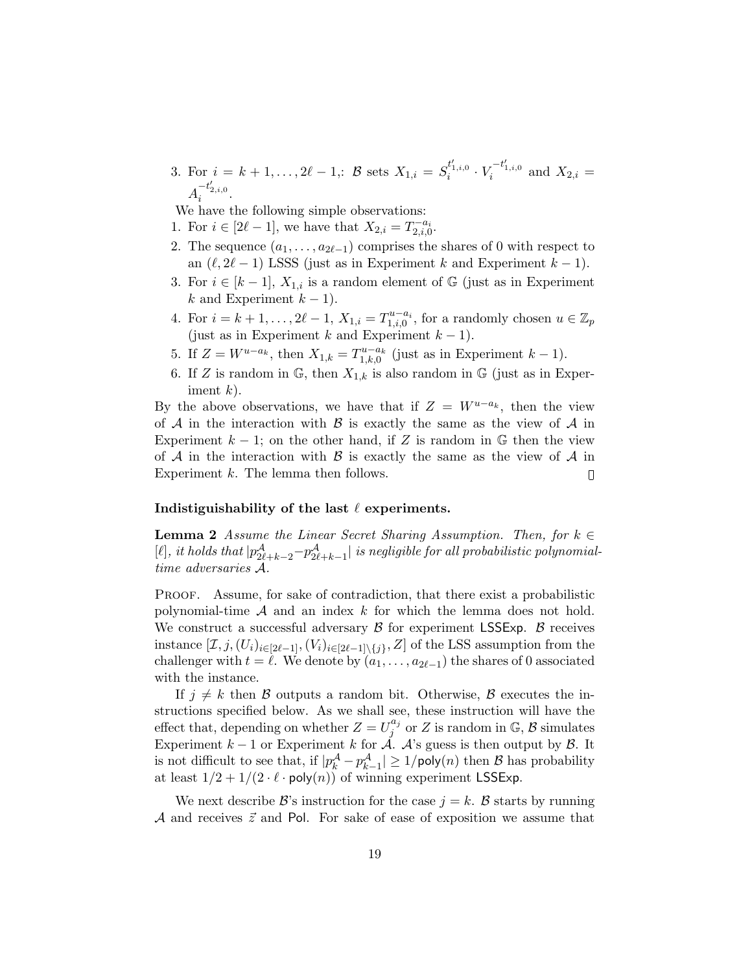3. For  $i = k + 1, ..., 2\ell - 1$ ,: B sets  $X_{1,i} = S_i^{t'_{1,i,0}} \cdot V_i^{-t'_{1,i,0}}$  and  $X_{2,i} =$  $A_i^{-t'_{2,i,0}}$ .

We have the following simple observations:

- 1. For  $i \in [2\ell 1]$ , we have that  $X_{2,i} = T_{2,i,0}^{-a_i}$ .
- 2. The sequence  $(a_1, \ldots, a_{2\ell-1})$  comprises the shares of 0 with respect to an  $(\ell, 2\ell - 1)$  LSSS (just as in Experiment k and Experiment  $k - 1$ ).
- 3. For  $i \in [k-1]$ ,  $X_{1,i}$  is a random element of G (just as in Experiment k and Experiment  $k-1$ ).
- 4. For  $i = k + 1, \ldots, 2\ell 1$ ,  $X_{1,i} = T_{1,i,0}^{u-a_i}$ , for a randomly chosen  $u \in \mathbb{Z}_p$ (just as in Experiment k and Experiment  $k-1$ ).
- 5. If  $Z = W^{u-a_k}$ , then  $X_{1,k} = T_{1,k,0}^{u-a_k}$  (just as in Experiment  $k-1$ ).
- 6. If Z is random in  $\mathbb{G}$ , then  $X_{1,k}$  is also random in  $\mathbb{G}$  (just as in Experiment  $k$ ).

By the above observations, we have that if  $Z = W^{u-a_k}$ , then the view of  $A$  in the interaction with  $B$  is exactly the same as the view of  $A$  in Experiment  $k - 1$ ; on the other hand, if Z is random in  $\mathbb{G}$  then the view of  $A$  in the interaction with  $B$  is exactly the same as the view of  $A$  in Experiment k. The lemma then follows.  $\Box$ 

#### <span id="page-18-0"></span>Indistiguishability of the last  $\ell$  experiments.

**Lemma 2** Assume the Linear Secret Sharing Assumption. Then, for  $k \in \mathbb{R}$ [ $\ell$ ], it holds that  $|p^{\mathcal{A}}_{2\ell+k-2}-p^{\mathcal{A}}_{2\ell+k-1}|$  is negligible for all probabilistic polynomialtime adversaries A.

PROOF. Assume, for sake of contradiction, that there exist a probabilistic polynomial-time  $A$  and an index k for which the lemma does not hold. We construct a successful adversary  $\beta$  for experiment LSSExp.  $\beta$  receives instance  $[\mathcal{I}, j, (U_i)_{i \in [2\ell-1]}, (V_i)_{i \in [2\ell-1] \setminus \{j\}}, Z]$  of the LSS assumption from the challenger with  $t = \ell$ . We denote by  $(a_1, \ldots, a_{2\ell-1})$  the shares of 0 associated with the instance.

If  $j \neq k$  then B outputs a random bit. Otherwise, B executes the instructions specified below. As we shall see, these instruction will have the effect that, depending on whether  $Z = U_j^{a_j}$  $j^{a_j}$  or Z is random in G, B simulates Experiment  $k-1$  or Experiment k for  $\overrightarrow{A}$ . A's guess is then output by  $\mathcal{B}$ . It is not difficult to see that, if  $|p_k^{\mathcal{A}} - p_{k-1}^{\mathcal{A}}| \ge 1/\text{poly}(n)$  then  $\mathcal B$  has probability at least  $1/2 + 1/(2 \cdot \ell \cdot \text{poly}(n))$  of winning experiment LSSExp.

We next describe  $\mathcal{B}$ 's instruction for the case  $j = k$ .  $\mathcal{B}$  starts by running A and receives  $\vec{z}$  and Pol. For sake of ease of exposition we assume that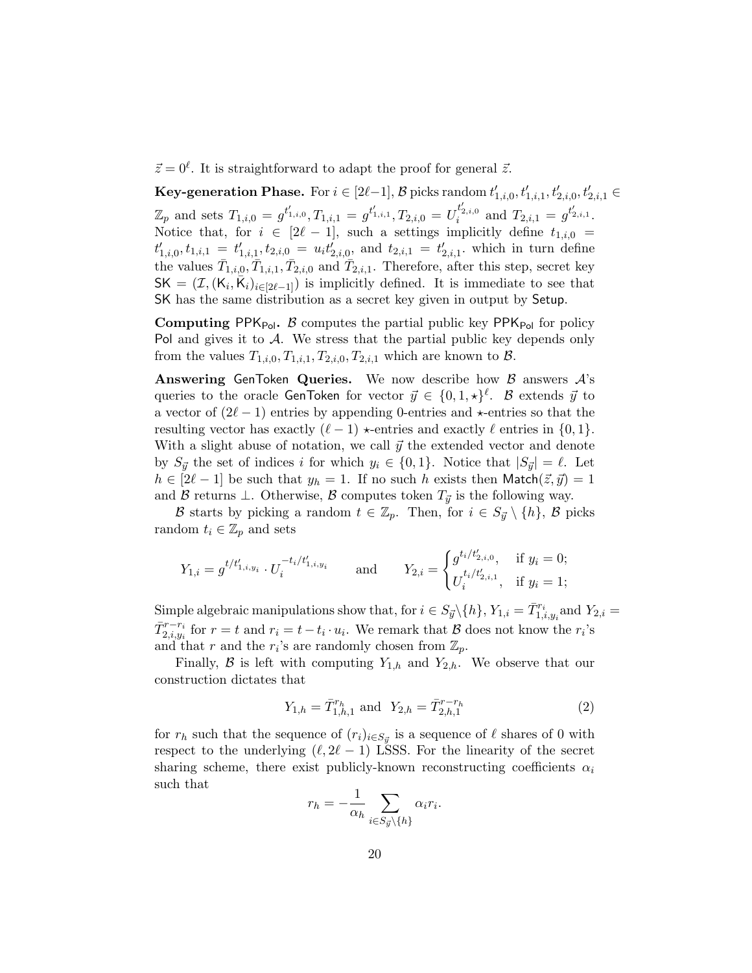$\vec{z} = 0^{\ell}$ . It is straightforward to adapt the proof for general  $\vec{z}$ .

**Key-generation Phase.** For  $i \in [2\ell-1]$ ,  $\mathcal{B}$  picks random  $t'_{1,i,0}, t'_{1,i,1}, t'_{2,i,0}, t'_{2,i,1} \in$  $\mathbb{Z}_p$  and sets  $T_{1,i,0} = g^{t'_{1,i,0}}, T_{1,i,1} = g^{t'_{1,i,1}}, T_{2,i,0} = U_i^{t'_{2,i,0}}$  and  $T_{2,i,1} = g^{t'_{2,i,1}}.$ Notice that, for  $i \in [2\ell - 1]$ , such a settings implicitly define  $t_{1,i,0} =$  $t'_{1,i,0}, t_{1,i,1} = t'_{1,i,1}, t_{2,i,0} = u_i t'_{2,i,0}, \text{ and } t_{2,i,1} = t'_{2,i,1}.$  which in turn define the values  $\bar{T}_{1,i,0}, \bar{T}_{1,i,1}, \bar{T}_{2,i,0}$  and  $\bar{T}_{2,i,1}$ . Therefore, after this step, secret key  $\mathsf{SK} = (\mathcal{I}, (\mathsf{K}_i, \overline{\mathsf{K}}_i)_{i \in [2\ell-1]})$  is implicitly defined. It is immediate to see that SK has the same distribution as a secret key given in output by Setup.

**Computing PPK**<sub>Pol</sub>. B computes the partial public key PPK<sub>Pol</sub> for policy Pol and gives it to  $A$ . We stress that the partial public key depends only from the values  $T_{1,i,0}, T_{1,i,1}, T_{2,i,0}, T_{2,i,1}$  which are known to  $\mathcal{B}$ .

Answering GenToken Queries. We now describe how  $\beta$  answers  $\mathcal{A}$ 's queries to the oracle GenToken for vector  $\vec{y} \in \{0, 1, \star\}^{\ell}$ .  $\mathcal B$  extends  $\vec{y}$  to a vector of  $(2\ell - 1)$  entries by appending 0-entries and  $\star$ -entries so that the resulting vector has exactly  $(\ell - 1) \star$ -entries and exactly  $\ell$  entries in {0, 1}. With a slight abuse of notation, we call  $\vec{y}$  the extended vector and denote by  $S_{\vec{y}}$  the set of indices i for which  $y_i \in \{0,1\}$ . Notice that  $|S_{\vec{y}}| = \ell$ . Let  $h \in [2\ell - 1]$  be such that  $y_h = 1$ . If no such h exists then Match $(\vec{z}, \vec{y}) = 1$ and B returns  $\perp$ . Otherwise, B computes token  $T_{\vec{y}}$  is the following way.

B starts by picking a random  $t \in \mathbb{Z}_p$ . Then, for  $i \in S_{\vec{u}} \setminus \{h\}$ , B picks random  $t_i \in \mathbb{Z}_p$  and sets

$$
Y_{1,i} = g^{t/t'_{1,i,y_i}} \cdot U_i^{-t_i/t'_{1,i,y_i}} \qquad \text{and} \qquad Y_{2,i} = \begin{cases} g^{t_i/t'_{2,i,0}}_i, & \text{if } y_i = 0; \\ U_i^{t_i/t'_{2,i,1}}, & \text{if } y_i = 1; \end{cases}
$$

Simple algebraic manipulations show that, for  $i \in S_{\vec{y}} \setminus \{h\}$ ,  $Y_{1,i} = \overline{T}_{1,i,y_i}^{r_i}$  and  $Y_{2,i} =$  $\bar{T}_{2,i,y_i}^{r-r_i}$  for  $r = t$  and  $r_i = t - t_i \cdot u_i$ . We remark that  $\beta$  does not know the  $r_i$ 's and that r and the  $r_i$ 's are randomly chosen from  $\mathbb{Z}_p$ .

Finally, B is left with computing  $Y_{1,h}$  and  $Y_{2,h}$ . We observe that our construction dictates that

<span id="page-19-0"></span>
$$
Y_{1,h} = \bar{T}_{1,h,1}^{r_h} \text{ and } Y_{2,h} = \bar{T}_{2,h,1}^{r-r_h}
$$
\n(2)

for  $r_h$  such that the sequence of  $(r_i)_{i \in S_{\vec{y}}}$  is a sequence of  $\ell$  shares of 0 with respect to the underlying  $(\ell, 2\ell - 1)$  LSSS. For the linearity of the secret sharing scheme, there exist publicly-known reconstructing coefficients  $\alpha_i$ such that

$$
r_h = -\frac{1}{\alpha_h} \sum_{i \in S_{\vec{y}} \setminus \{h\}} \alpha_i r_i.
$$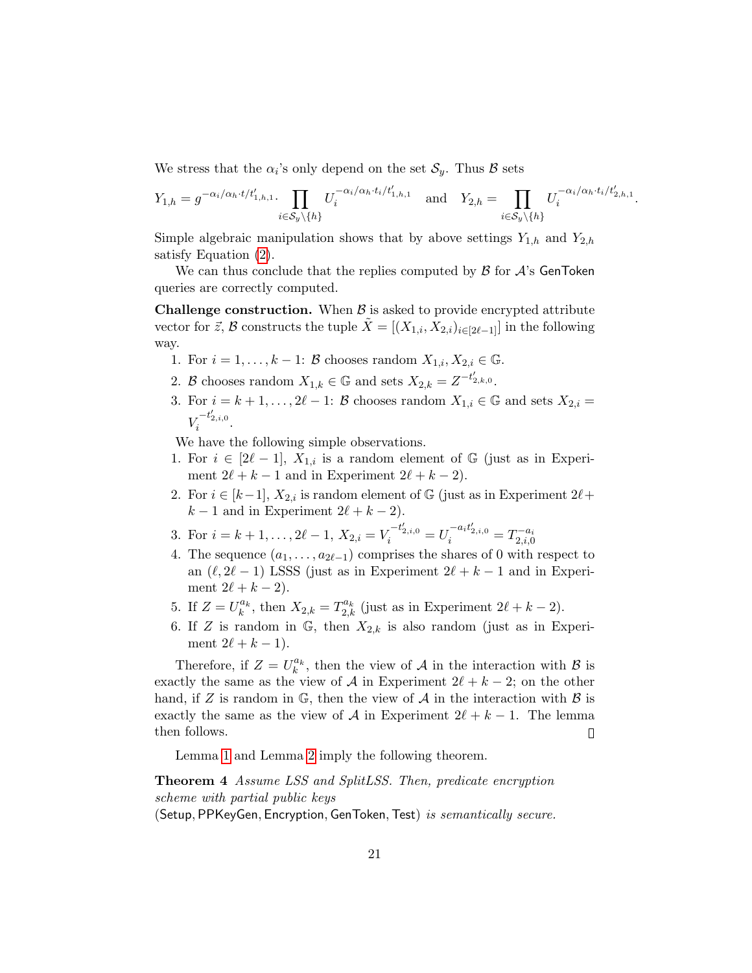We stress that the  $\alpha_i$ 's only depend on the set  $\mathcal{S}_y$ . Thus  $\mathcal B$  sets

$$
Y_{1,h} = g^{-\alpha_i/\alpha_h \cdot t/t'_{1,h,1}} \cdot \prod_{i \in S_y \setminus \{h\}} U_i^{-\alpha_i/\alpha_h \cdot t_i/t'_{1,h,1}} \quad \text{and} \quad Y_{2,h} = \prod_{i \in S_y \setminus \{h\}} U_i^{-\alpha_i/\alpha_h \cdot t_i/t'_{2,h,1}}
$$

.

Simple algebraic manipulation shows that by above settings  $Y_{1,h}$  and  $Y_{2,h}$ satisfy Equation [\(2\)](#page-19-0).

We can thus conclude that the replies computed by  $\beta$  for  $\mathcal{A}$ 's GenToken queries are correctly computed.

**Challenge construction.** When  $\beta$  is asked to provide encrypted attribute vector for  $\vec{z}$ , B constructs the tuple  $\tilde{X} = [(X_{1,i}, X_{2,i})_{i \in [2\ell-1]}]$  in the following way.

- 1. For  $i = 1, \ldots, k 1$ :  $\beta$  chooses random  $X_{1,i}, X_{2,i} \in \mathbb{G}$ .
- 2. B chooses random  $X_{1,k} \in \mathbb{G}$  and sets  $X_{2,k} = Z^{-t'_{2,k,0}}$ .
- 3. For  $i = k + 1, \ldots, 2\ell 1$ : B chooses random  $X_{1,i} \in \mathbb{G}$  and sets  $X_{2,i} =$  $V_i^{-t'_{2,i,0}}$ .

We have the following simple observations.

- 1. For  $i \in [2\ell 1], X_{1,i}$  is a random element of G (just as in Experiment  $2\ell + k - 1$  and in Experiment  $2\ell + k - 2$ .
- 2. For  $i \in [k-1]$ ,  $X_{2,i}$  is random element of G (just as in Experiment  $2\ell$ +  $k - 1$  and in Experiment  $2\ell + k - 2$ .
- 3. For  $i = k + 1, \ldots, 2\ell 1, X_{2,i} = V_i^{-t'_{2,i,0}} = U_i^{-a_i t'_{2,i,0}} = T_{2,i,0}^{-a_i}$
- 4. The sequence  $(a_1, \ldots, a_{2\ell-1})$  comprises the shares of 0 with respect to an  $(\ell, 2\ell - 1)$  LSSS (just as in Experiment  $2\ell + k - 1$  and in Experiment  $2\ell + k - 2$ ).
- 5. If  $Z = U_k^{a_k}$ , then  $X_{2,k} = T_{2,k}^{a_k}$  (just as in Experiment  $2\ell + k 2$ ).
- 6. If Z is random in  $\mathbb{G}$ , then  $X_{2,k}$  is also random (just as in Experiment  $2\ell + k - 1$ ).

Therefore, if  $Z = U_k^{a_k}$ , then the view of A in the interaction with B is exactly the same as the view of A in Experiment  $2\ell + k - 2$ ; on the other hand, if Z is random in  $\mathbb{G}$ , then the view of A in the interaction with  $\beta$  is exactly the same as the view of A in Experiment  $2\ell + k - 1$ . The lemma then follows.  $\Box$ 

Lemma [1](#page-15-0) and Lemma [2](#page-18-0) imply the following theorem.

Theorem 4 Assume LSS and SplitLSS. Then, predicate encryption scheme with partial public keys (Setup, PPKeyGen, Encryption, GenToken, Test) is semantically secure.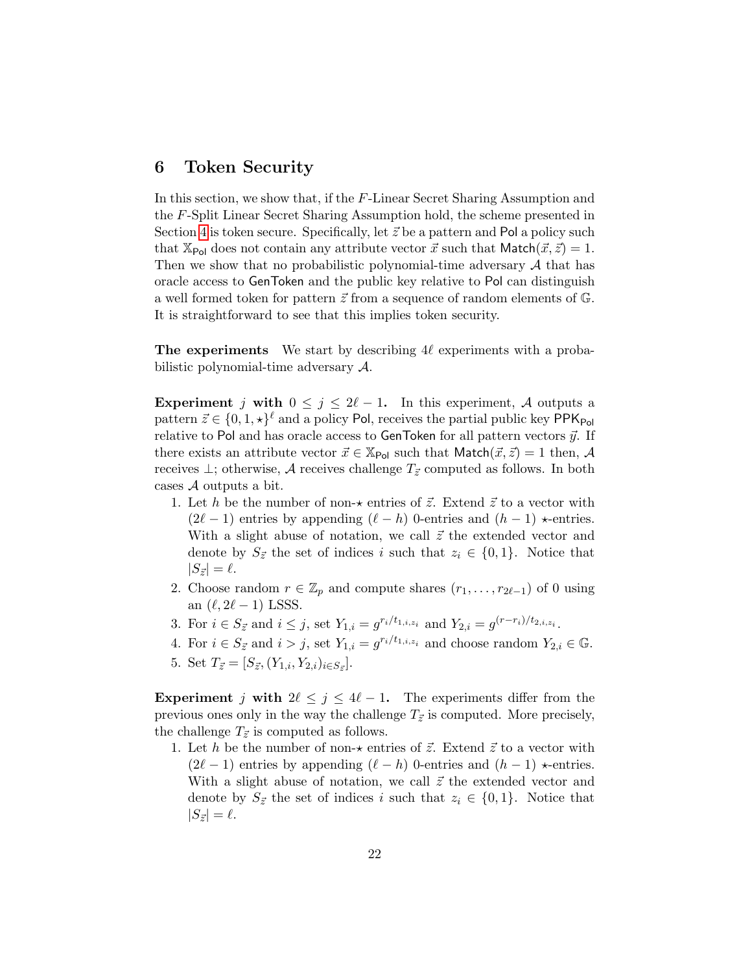## 6 Token Security

In this section, we show that, if the F-Linear Secret Sharing Assumption and the F-Split Linear Secret Sharing Assumption hold, the scheme presented in Section [4](#page-12-0) is token secure. Specifically, let  $\vec{z}$  be a pattern and Pol a policy such that  $\mathbb{X}_{\text{Pol}}$  does not contain any attribute vector  $\vec{x}$  such that Match $(\vec{x}, \vec{z}) = 1$ . Then we show that no probabilistic polynomial-time adversary  $A$  that has oracle access to GenToken and the public key relative to Pol can distinguish a well formed token for pattern  $\vec{z}$  from a sequence of random elements of  $\mathbb{G}$ . It is straightforward to see that this implies token security.

The experiments We start by describing  $4\ell$  experiments with a probabilistic polynomial-time adversary A.

Experiment j with  $0 \leq j \leq 2\ell - 1$ . In this experiment, A outputs a pattern  $\vec{z} \in \{0, 1, \star\}^{\ell}$  and a policy Pol, receives the partial public key PPK<sub>Pol</sub> relative to Pol and has oracle access to GenToken for all pattern vectors  $\vec{y}$ . If there exists an attribute vector  $\vec{x} \in \mathbb{X}_{\text{Pol}}$  such that  $\text{Match}(\vec{x}, \vec{z}) = 1$  then, A receives  $\perp$ ; otherwise, A receives challenge  $T_{\vec{z}}$  computed as follows. In both cases  $A$  outputs a bit.

- 1. Let h be the number of non- $\star$  entries of  $\vec{z}$ . Extend  $\vec{z}$  to a vector with  $(2\ell - 1)$  entries by appending  $(\ell - h)$  0-entries and  $(h - 1) \star$ -entries. With a slight abuse of notation, we call  $\vec{z}$  the extended vector and denote by  $S_{\vec{z}}$  the set of indices i such that  $z_i \in \{0,1\}$ . Notice that  $|S_{\vec{z}}| = \ell.$
- 2. Choose random  $r \in \mathbb{Z}_p$  and compute shares  $(r_1, \ldots, r_{2\ell-1})$  of 0 using an  $(\ell, 2\ell - 1)$  LSSS.
- 3. For  $i \in S_{\vec{z}}$  and  $i \leq j$ , set  $Y_{1,i} = g^{r_i/t_{1,i,z_i}}$  and  $Y_{2,i} = g^{(r-r_i)/t_{2,i,z_i}}$ .
- 4. For  $i \in S_{\vec{z}}$  and  $i > j$ , set  $Y_{1,i} = g^{r_i/t_{1,i,z_i}}$  and choose random  $Y_{2,i} \in \mathbb{G}$ . 5. Set  $T_{\vec{z}} = [S_{\vec{z}}, (Y_{1,i}, Y_{2,i})_{i \in S_{\vec{z}}}].$

Experiment j with  $2\ell \leq j \leq 4\ell - 1$ . The experiments differ from the previous ones only in the way the challenge  $T_{\vec{z}}$  is computed. More precisely, the challenge  $T_{\vec{z}}$  is computed as follows.

1. Let h be the number of non- $\star$  entries of  $\vec{z}$ . Extend  $\vec{z}$  to a vector with  $(2\ell - 1)$  entries by appending  $(\ell - h)$  0-entries and  $(h - 1) \star$ -entries. With a slight abuse of notation, we call  $\vec{z}$  the extended vector and denote by  $S_{\vec{z}}$  the set of indices i such that  $z_i \in \{0,1\}$ . Notice that  $|S_{\vec{z}}| = \ell.$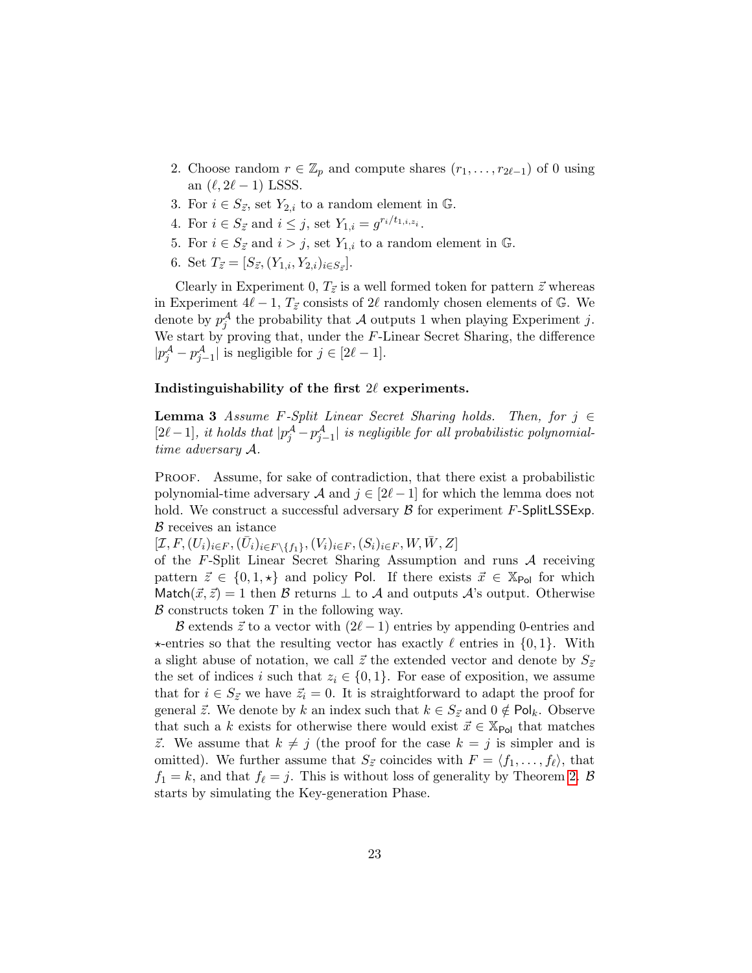- 2. Choose random  $r \in \mathbb{Z}_p$  and compute shares  $(r_1, \ldots, r_{2\ell-1})$  of 0 using an  $(\ell, 2\ell - 1)$  LSSS.
- 3. For  $i \in S_{\vec{z}}$ , set  $Y_{2,i}$  to a random element in  $\mathbb{G}$ .
- 4. For  $i \in S_{\vec{z}}$  and  $i \leq j$ , set  $Y_{1,i} = g^{r_i/t_{1,i,z_i}}$ .
- 5. For  $i \in S_{\vec{z}}$  and  $i > j$ , set  $Y_{1,i}$  to a random element in  $\mathbb{G}$ .
- 6. Set  $T_{\vec{z}} = [S_{\vec{z}}, (Y_{1,i}, Y_{2,i})_{i \in S_{\vec{z}}}].$

Clearly in Experiment 0,  $T_{\vec{z}}$  is a well formed token for pattern  $\vec{z}$  whereas in Experiment  $4\ell - 1$ ,  $T_{\vec{z}}$  consists of  $2\ell$  randomly chosen elements of G. We denote by  $p_j^{\mathcal{A}}$  the probability that  $\mathcal A$  outputs 1 when playing Experiment j. We start by proving that, under the F-Linear Secret Sharing, the difference  $|p_j^{\mathcal{A}} - p_{j-1}^{\mathcal{A}}|$  is negligible for  $j \in [2\ell - 1]$ .

#### Indistinguishability of the first  $2\ell$  experiments.

**Lemma 3** Assume F-Split Linear Secret Sharing holds. Then, for  $j \in$  $[2\ell-1]$ , it holds that  $|p_j^{\mathcal{A}}-p_{j-1}^{\mathcal{A}}|$  is negligible for all probabilistic polynomialtime adversary A.

Proof. Assume, for sake of contradiction, that there exist a probabilistic polynomial-time adversary A and  $j \in [2\ell - 1]$  for which the lemma does not hold. We construct a successful adversary  $\beta$  for experiment F-SplitLSSExp. B receives an istance

 $[\mathcal{I}, F, (U_i)_{i \in F}, (\bar{U}_i)_{i \in F \setminus \{f_1\}}, (V_i)_{i \in F}, (S_i)_{i \in F}, W, \bar{W}, Z]$ 

of the  $F$ -Split Linear Secret Sharing Assumption and runs  $A$  receiving pattern  $\vec{z} \in \{0, 1, \star\}$  and policy Pol. If there exists  $\vec{x} \in \mathbb{X}_{\text{Pol}}$  for which Match( $\vec{x}, \vec{z}$ ) = 1 then B returns  $\perp$  to A and outputs A's output. Otherwise  $\beta$  constructs token T in the following way.

B extends  $\vec{z}$  to a vector with  $(2\ell - 1)$  entries by appending 0-entries and  $\star$ -entries so that the resulting vector has exactly  $\ell$  entries in  $\{0, 1\}$ . With a slight abuse of notation, we call  $\vec{z}$  the extended vector and denote by  $S_{\vec{z}}$ the set of indices i such that  $z_i \in \{0,1\}$ . For ease of exposition, we assume that for  $i \in S_{\vec{z}}$  we have  $\vec{z}_i = 0$ . It is straightforward to adapt the proof for general  $\vec{z}$ . We denote by k an index such that  $k \in S_{\vec{z}}$  and  $0 \notin \text{Pol}_k$ . Observe that such a k exists for otherwise there would exist  $\vec{x} \in X_{\text{Pol}}$  that matches  $\vec{z}$ . We assume that  $k \neq j$  (the proof for the case  $k = j$  is simpler and is omitted). We further assume that  $S_{\vec{z}}$  coincides with  $F = \langle f_1, \ldots, f_\ell \rangle$ , that  $f_1 = k$ , and that  $f_\ell = j$ . This is without loss of generality by Theorem [2.](#page-11-1) B starts by simulating the Key-generation Phase.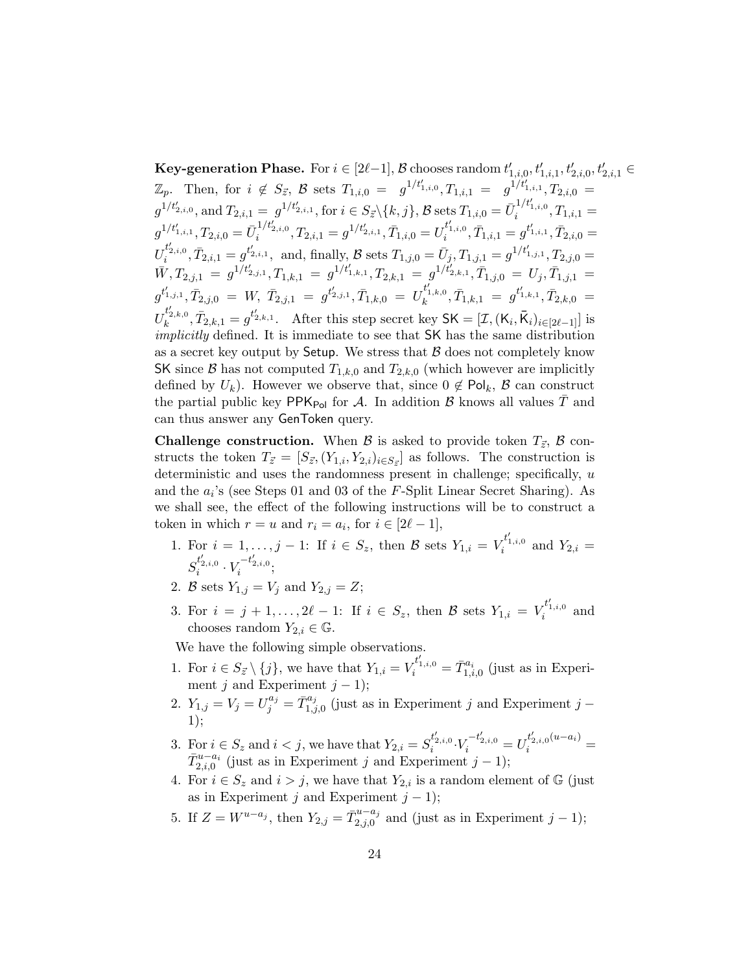$\textbf{Key-generation Phase.}$  For  $i \in [2\ell-1], \mathcal{B}$  chooses random  $t'_{1,i,0}, t'_{1,i,1}, t'_{2,i,0}, t'_{2,i,1} \in \mathcal{B}$  $\mathbb{Z}_p$ . Then, for  $i \notin S_{\vec{z}}, \mathcal{B}$  sets  $T_{1,i,0} = g^{1/t'_{1,i,0}}, T_{1,i,1} = g^{1/t'_{1,i,1}}, T_{2,i,0} = g^{1/t'_{2,i,1}}$  $g^{1/t'_{2,i,0}}, \text{and} \ T_{2,i,1} = [g^{1/t'_{2,i,1}}, \text{for} \ i \in S_{\vec{z}} \setminus \{k,j\}, \mathcal{B} \ \text{sets} \ T_{1,i,0} = \bar{U}_i^{1/t'_{1,i,0}}, T_{1,i,1} =$  $g^{1/t'_{1,i,1}}, T_{2,i,0} = {\bar{U}}_i^{1/t'_{2,i,0}}, T_{2,i,1} = g^{1/t'_{2,i,1}}, {\bar{T}}_{1,i,0} = U_i^{t'_{1,i,0}}, {\bar{T}}_{1,i,1} = g^{t'_{1,i,1}}, {\bar{T}}_{2,i,0} =$  $U_i^{t'_{2,i,0}}, \bar{T}_{2,i,1} = g^{t'_{2,i,1}}, \ \ \text{and, finally, } \mathcal{B} \ \text{sets} \ T_{1,j,0} = \bar{U}_j, T_{1,j,1} = g^{1/t'_{1,j,1}}, T_{2,j,0} =$  $\bar{W}, T_{2,j,1}\ =\ g^{1/t'_{2,j,1}}, T_{1,k,1}\ =\ g^{1/t'_{1,k,1}}, T_{2,k,1}\ =\ g^{1/t'_{2,k,1}}, \bar{T}_{1,j,0}\ =\ U_j, \bar{T}_{1,j,1}\ =\ \bar{T}_{1,j,1}.$  $g^{t'_{1,j,1}}, \bar{T}_{2,j,0}\;=\; W,\; \bar{T}_{2,j,1}\;=\; g^{t'_{2,j,1}}, \bar{T}_{1,k,0}\;=\; U^{{t'_{1,k,0}}}_k, \bar{T}_{1,k,1}\;=\; g^{t'_{1,k,1}}, \bar{T}_{2,k,0}\;=\;$  $U_k^{t'_{2,k,0}}, \bar{T}_{2,k,1} = g^{t'_{2,k,1}}.$  After this step secret key  $\mathsf{SK} = [\mathcal{I}, (\mathsf{K}_i, \bar{\mathsf{K}}_i)_{i \in [2\ell-1]}]$  is implicitly defined. It is immediate to see that SK has the same distribution as a secret key output by Setup. We stress that  $\beta$  does not completely know SK since B has not computed  $T_{1,k,0}$  and  $T_{2,k,0}$  (which however are implicitly defined by  $U_k$ ). However we observe that, since  $0 \notin \mathsf{Pol}_k$ ,  $\mathcal B$  can construct the partial public key PPK<sub>Pol</sub> for A. In addition B knows all values T and can thus answer any GenToken query.

**Challenge construction.** When B is asked to provide token  $T_{\vec{z}}$ , B constructs the token  $T_{\vec{z}} = [S_{\vec{z}}, (Y_{1,i}, Y_{2,i})_{i \in S_{\vec{z}}} ]$  as follows. The construction is deterministic and uses the randomness present in challenge; specifically,  $u$ and the  $a_i$ 's (see Steps 01 and 03 of the  $F$ -Split Linear Secret Sharing). As we shall see, the effect of the following instructions will be to construct a token in which  $r = u$  and  $r_i = a_i$ , for  $i \in [2\ell - 1]$ ,

- 1. For  $i = 1, ..., j 1$ : If  $i \in S_z$ , then B sets  $Y_{1,i} = V_i^{t'_{1,i,0}}$  and  $Y_{2,i} =$  $S_i^{t'_{2,i,0}} \cdot V_i^{-t'_{2,i,0}};$
- 2. B sets  $Y_{1,j} = V_j$  and  $Y_{2,j} = Z;$
- 3. For  $i = j + 1, ..., 2\ell 1$ : If  $i \in S_z$ , then B sets  $Y_{1,i} = V_i^{t'_{1,i,0}}$  and chooses random  $Y_{2,i} \in \mathbb{G}$ .

We have the following simple observations.

- 1. For  $i \in S_{\vec{z}} \setminus \{j\}$ , we have that  $Y_{1,i} = V_i^{t'_{1,i,0}} = \bar{T}_{1,i,0}^{a_i}$  (just as in Experiment j and Experiment  $j - 1$ );
- 2.  $Y_{1,j} = V_j = U_j^{a_j} = \bar{T}_{1,j}^{a_j}$  $\int_{1,j,0}^{u_j}$  (just as in Experiment j and Experiment j – 1);
- 3. For  $i \in S_z$  and  $i < j$ , we have that  $Y_{2,i} = S_i^{t'_{2,i,0}} \cdot V_i^{-t'_{2,i,0}} = U_i^{t'_{2,i,0}(u-a_i)}$  $\bar{T}_{2,i,0}^{u-a_i}$  (just as in Experiment j and Experiment j – 1);
- 4. For  $i \in S_z$  and  $i > j$ , we have that  $Y_{2,i}$  is a random element of  $\mathbb{G}$  (just as in Experiment j and Experiment  $j - 1$ );
- 5. If  $Z = W^{u-a_j}$ , then  $Y_{2,j} = \bar{T}_{2,i,0}^{u-a_j}$  $z_{1,1}^{a-a_j}$  and (just as in Experiment  $j-1$ );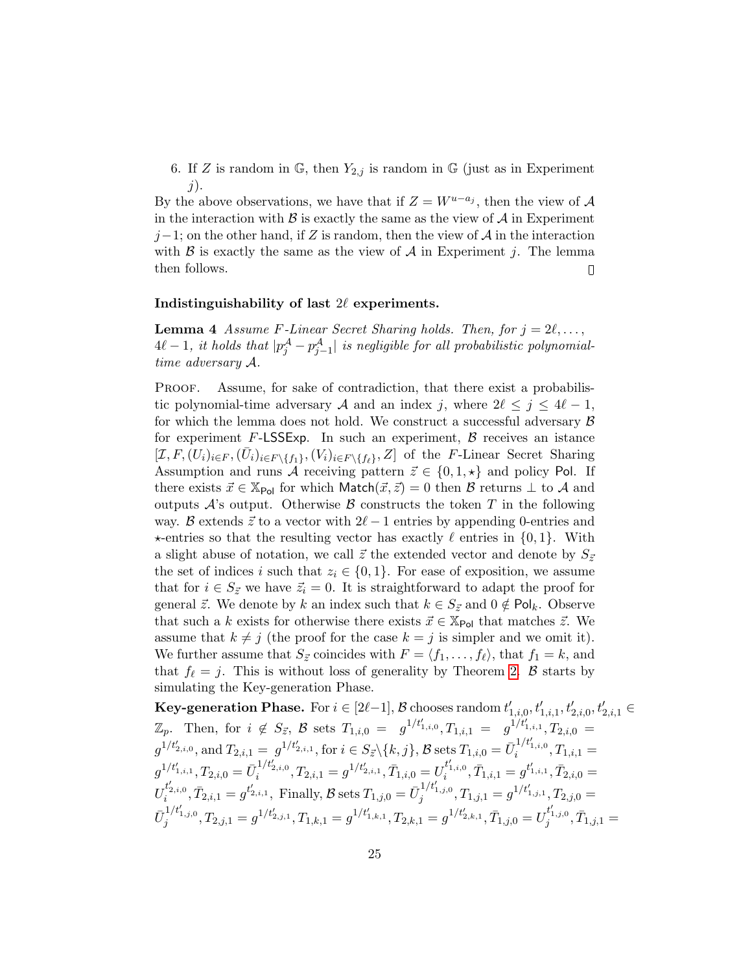6. If Z is random in G, then  $Y_{2,j}$  is random in G (just as in Experiment  $j$ ).

By the above observations, we have that if  $Z = W^{u-a_j}$ , then the view of A in the interaction with  $\beta$  is exactly the same as the view of  $\mathcal A$  in Experiment  $j-1$ ; on the other hand, if Z is random, then the view of A in the interaction with  $\beta$  is exactly the same as the view of  $\mathcal A$  in Experiment j. The lemma then follows.  $\begin{array}{c} \square \end{array}$ 

#### Indistinguishability of last  $2\ell$  experiments.

**Lemma 4** Assume F-Linear Secret Sharing holds. Then, for  $j = 2\ell, \ldots,$  $4\ell - 1$ , it holds that  $|p_j^{\mathcal{A}} - p_{j-1}^{\mathcal{A}}|$  is negligible for all probabilistic polynomialtime adversary A.

Proof. Assume, for sake of contradiction, that there exist a probabilistic polynomial-time adversary A and an index j, where  $2\ell \leq j \leq 4\ell - 1$ , for which the lemma does not hold. We construct a successful adversary  $\beta$ for experiment  $F$ -LSSExp. In such an experiment,  $\beta$  receives an istance  $[\mathcal{I}, F, (U_i)_{i \in F}, (\bar{U}_i)_{i \in F \setminus \{f_1\}}, (V_i)_{i \in F \setminus \{f_\ell\}}, Z]$  of the F-Linear Secret Sharing Assumption and runs A receiving pattern  $\vec{z} \in \{0, 1, \star\}$  and policy Pol. If there exists  $\vec{x} \in \mathbb{X}_{\text{Pol}}$  for which Match $(\vec{x}, \vec{z}) = 0$  then  $\beta$  returns  $\bot$  to A and outputs  $\mathcal{A}$ 's output. Otherwise  $\mathcal{B}$  constructs the token T in the following way. B extends  $\vec{z}$  to a vector with  $2\ell - 1$  entries by appending 0-entries and  $\star$ -entries so that the resulting vector has exactly  $\ell$  entries in  $\{0, 1\}$ . With a slight abuse of notation, we call  $\vec{z}$  the extended vector and denote by  $S_{\vec{z}}$ the set of indices i such that  $z_i \in \{0,1\}$ . For ease of exposition, we assume that for  $i \in S_{\vec{z}}$  we have  $\vec{z}_i = 0$ . It is straightforward to adapt the proof for general  $\vec{z}$ . We denote by k an index such that  $k \in S_{\vec{z}}$  and  $0 \notin \text{Pol}_k$ . Observe that such a k exists for otherwise there exists  $\vec{x} \in \mathbb{X}_{\text{Pol}}$  that matches  $\vec{z}$ . We assume that  $k \neq j$  (the proof for the case  $k = j$  is simpler and we omit it). We further assume that  $S_{\vec{z}}$  coincides with  $F = \langle f_1, \ldots, f_\ell \rangle$ , that  $f_1 = k$ , and that  $f_{\ell} = j$ . This is without loss of generality by Theorem [2.](#page-11-1) B starts by simulating the Key-generation Phase.

 $\textbf{Key-generation Phase.}$  For  $i \in [2\ell-1], \mathcal{B}$  chooses random  $t'_{1,i,0}, t'_{1,i,1}, t'_{2,i,0}, t'_{2,i,1} \in \mathcal{B}$  $\mathbb{Z}_p$ . Then, for  $i \notin S_{\vec{z}}, \mathcal{B}$  sets  $T_{1,i,0} = g^{1/t'_{1,i,0}}, T_{1,i,1} = g^{1/t'_{1,i,1}}, T_{2,i,0} = g^{1/t'_{2,i,1}}$  $g^{1/t'_{2,i,0}}, \text{and} \ T_{2,i,1} = [g^{1/t'_{2,i,1}}, \text{for} \ i \in S_{\vec{z}} \setminus \{k,j\}, \mathcal{B} \ \text{sets} \ T_{1,i,0} = \bar{U}_i^{1/t'_{1,i,0}}, T_{1,i,1} =$  $g^{1/t'_{1,i,1}}, T_{2,i,0} = {\bar{U}}_i^{1/t'_{2,i,0}}, T_{2,i,1} = g^{1/t'_{2,i,1}}, {\bar{T}}_{1,i,0} = U_i^{t'_{1,i,0}}, {\bar{T}}_{1,i,1} = g^{t'_{1,i,1}}, {\bar{T}}_{2,i,0} =$  $U_i^{t'_{2,i,0}}, \bar{T}_{2,i,1} = g^{t'_{2,i,1}}, \text{ Finally, } \mathcal{B} \text{ sets } T_{1,j,0} = \bar{U}_j^{1/t'_{1,j,0}}, T_{1,j,1} = g^{1/t'_{1,j,1}}, T_{2,j,0} =$  $\bar{U}_{j}^{1/t'_{1,j,0}}, T_{2,j,1} = g^{1/t'_{2,j,1}}, T_{1,k,1} = g^{1/t'_{1,k,1}}, T_{2,k,1} = g^{1/t'_{2,k,1}}, \bar{T}_{1,j,0} = U_{j}^{t'_{1,j,0}}, \bar{T}_{1,j,1} =$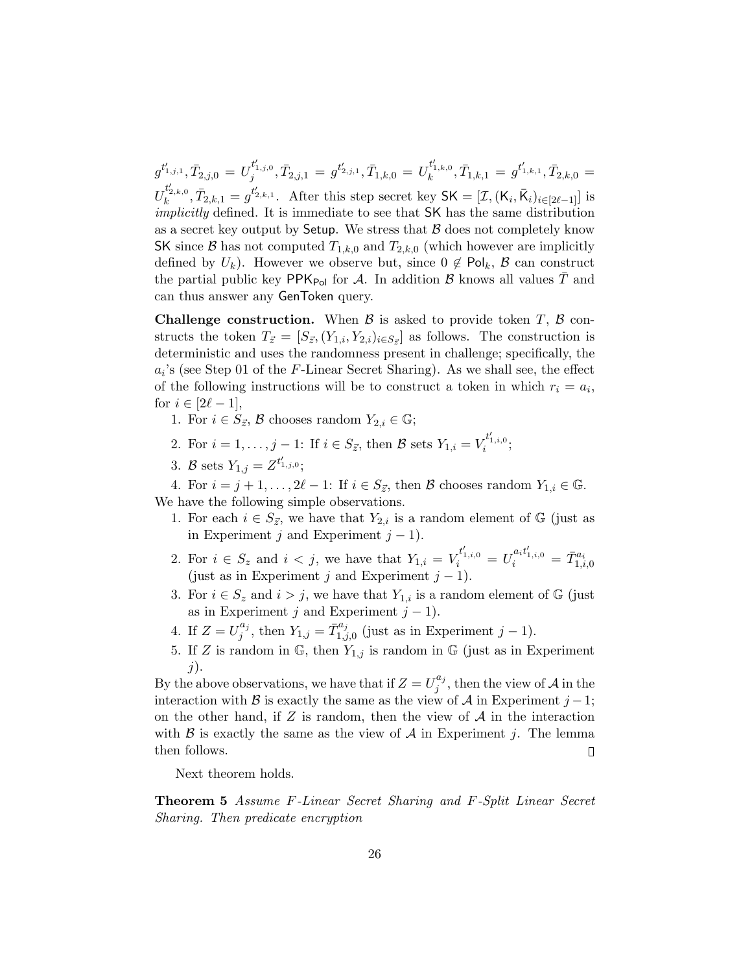$g^{t'_{1,j,1}}, \bar{T}_{2,j,0} = U_j^{t'_{1,j,0}}, \bar{T}_{2,j,1} = g^{t'_{2,j,1}}, \bar{T}_{1,k,0} = U_k^{t'_{1,k,0}}, \bar{T}_{1,k,1} = g^{t'_{1,k,1}}, \bar{T}_{2,k,0} =$  $U_k^{t'_{2,k,0}}, \bar{T}_{2,k,1} = g^{t'_{2,k,1}}.$  After this step secret key  $\mathsf{SK} = [\mathcal{I}, (\mathsf{K}_i, \bar{\mathsf{K}}_i)_{i \in [2\ell-1]}]$  is implicitly defined. It is immediate to see that SK has the same distribution as a secret key output by Setup. We stress that  $\beta$  does not completely know SK since B has not computed  $T_{1,k,0}$  and  $T_{2,k,0}$  (which however are implicitly defined by  $U_k$ ). However we observe but, since  $0 \notin \mathsf{Pol}_k$ ,  $\mathcal{B}$  can construct the partial public key  $PPK_{Pol}$  for A. In addition B knows all values T and can thus answer any GenToken query.

**Challenge construction.** When  $\beta$  is asked to provide token T,  $\beta$  constructs the token  $T_{\vec{z}} = [S_{\vec{z}}, (Y_{1,i}, Y_{2,i})_{i \in S_{\vec{z}}} ]$  as follows. The construction is deterministic and uses the randomness present in challenge; specifically, the  $a_i$ 's (see Step 01 of the F-Linear Secret Sharing). As we shall see, the effect of the following instructions will be to construct a token in which  $r_i = a_i$ , for  $i \in [2\ell - 1]$ ,

- 1. For  $i \in S_{\vec{z}}, \mathcal{B}$  chooses random  $Y_{2,i} \in \mathbb{G}$ ;
- 2. For  $i = 1, ..., j 1$ : If  $i \in S_{\vec{z}}$ , then B sets  $Y_{1,i} = V_i^{t'_{1,i,0}}$ ;
- 3. B sets  $Y_{1,j} = Z^{t'_{1,j,0}};$

4. For  $i = j + 1, \ldots, 2\ell - 1$ : If  $i \in S_{\vec{z}}$ , then  $\beta$  chooses random  $Y_{1,i} \in \mathbb{G}$ . We have the following simple observations.

- 1. For each  $i \in S_{\vec{z}}$ , we have that  $Y_{2,i}$  is a random element of G (just as in Experiment j and Experiment  $j - 1$ ).
- 2. For  $i \in S_z$  and  $i < j$ , we have that  $Y_{1,i} = V_i^{t'_{1,i,0}} = U_i^{a_i t'_{1,i,0}} = \bar{T}_{1,i,0}^{a_i}$ (just as in Experiment j and Experiment  $j - 1$ ).
- 3. For  $i \in S_z$  and  $i > j$ , we have that  $Y_{1,i}$  is a random element of G (just as in Experiment j and Experiment  $j - 1$ ).
- 4. If  $Z = U_j^{a_j}$  $j^{a_j}$ , then  $Y_{1,j} = \bar{T}_{1,j}^{a_j}$  $j_{1,j,0}^{a_j}$  (just as in Experiment  $j-1$ ).
- 5. If Z is random in  $\mathbb{G}$ , then  $Y_{1,j}$  is random in  $\mathbb{G}$  (just as in Experiment  $j$ ).

By the above observations, we have that if  $Z = U_j^{a_j}$  $j^{a_j}$ , then the view of A in the interaction with B is exactly the same as the view of A in Experiment  $j-1$ ; on the other hand, if  $Z$  is random, then the view of  $A$  in the interaction with  $\beta$  is exactly the same as the view of  $\mathcal A$  in Experiment j. The lemma then follows.  $\Box$ 

Next theorem holds.

Theorem 5 Assume F-Linear Secret Sharing and F-Split Linear Secret Sharing. Then predicate encryption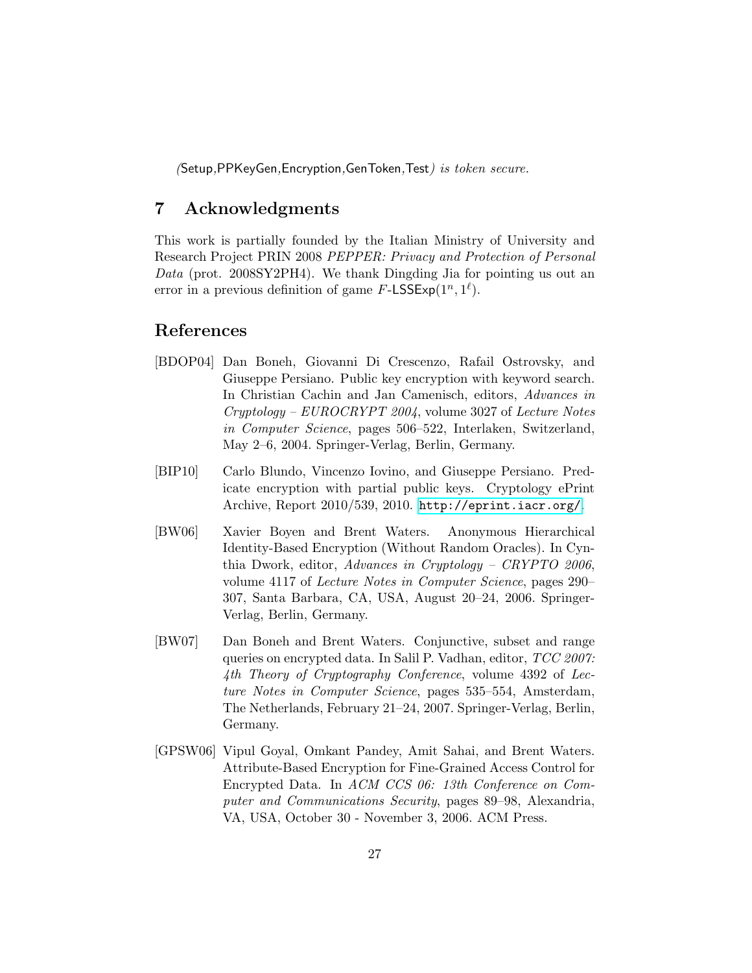(Setup,PPKeyGen,Encryption,GenToken,Test) is token secure.

## 7 Acknowledgments

This work is partially founded by the Italian Ministry of University and Research Project PRIN 2008 PEPPER: Privacy and Protection of Personal Data (prot. 2008SY2PH4). We thank Dingding Jia for pointing us out an error in a previous definition of game  $F\text{-LSSExp}(1^n, 1^{\ell})$ .

## References

- <span id="page-26-1"></span>[BDOP04] Dan Boneh, Giovanni Di Crescenzo, Rafail Ostrovsky, and Giuseppe Persiano. Public key encryption with keyword search. In Christian Cachin and Jan Camenisch, editors, Advances in Cryptology – EUROCRYPT 2004, volume 3027 of Lecture Notes in Computer Science, pages 506–522, Interlaken, Switzerland, May 2–6, 2004. Springer-Verlag, Berlin, Germany.
- <span id="page-26-4"></span>[BIP10] Carlo Blundo, Vincenzo Iovino, and Giuseppe Persiano. Predicate encryption with partial public keys. Cryptology ePrint Archive, Report 2010/539, 2010. <http://eprint.iacr.org/>.
- <span id="page-26-3"></span>[BW06] Xavier Boyen and Brent Waters. Anonymous Hierarchical Identity-Based Encryption (Without Random Oracles). In Cynthia Dwork, editor, Advances in Cryptology – CRYPTO 2006, volume 4117 of Lecture Notes in Computer Science, pages 290– 307, Santa Barbara, CA, USA, August 20–24, 2006. Springer-Verlag, Berlin, Germany.
- <span id="page-26-0"></span>[BW07] Dan Boneh and Brent Waters. Conjunctive, subset and range queries on encrypted data. In Salil P. Vadhan, editor, TCC 2007: 4th Theory of Cryptography Conference, volume 4392 of Lecture Notes in Computer Science, pages 535–554, Amsterdam, The Netherlands, February 21–24, 2007. Springer-Verlag, Berlin, Germany.
- <span id="page-26-2"></span>[GPSW06] Vipul Goyal, Omkant Pandey, Amit Sahai, and Brent Waters. Attribute-Based Encryption for Fine-Grained Access Control for Encrypted Data. In ACM CCS 06: 13th Conference on Computer and Communications Security, pages 89–98, Alexandria, VA, USA, October 30 - November 3, 2006. ACM Press.